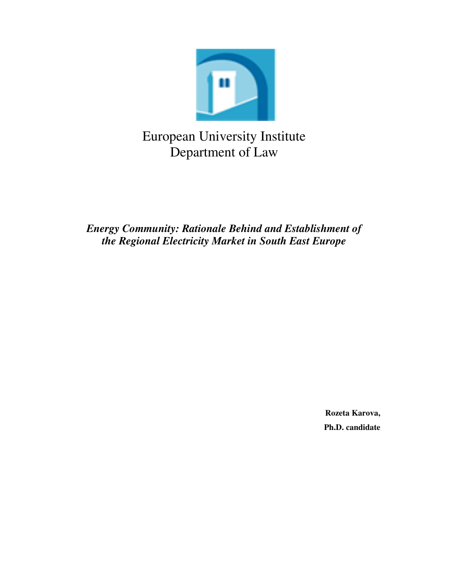

# European University Institute Department of Law

*Energy Community: Rationale Behind and Establishment of the Regional Electricity Market in South East Europe* 

> **Rozeta Karova, Ph.D. candidate**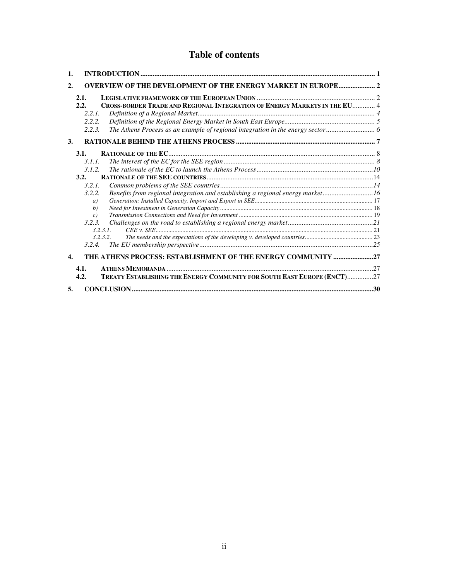## **Table of contents**

| 1.               |                                                                                            |  |
|------------------|--------------------------------------------------------------------------------------------|--|
| $\overline{2}$   | <b>OVERVIEW OF THE DEVELOPMENT OF THE ENERGY MARKET IN EUROPE 2</b>                        |  |
|                  | 2.1.                                                                                       |  |
|                  | CROSS-BORDER TRADE AND REGIONAL INTEGRATION OF ENERGY MARKETS IN THE EU 4<br>2.2.<br>2.2.1 |  |
|                  | 2.2.2.                                                                                     |  |
|                  | 2.2.3.                                                                                     |  |
| 3.               |                                                                                            |  |
|                  | 3.1.                                                                                       |  |
|                  | 3.1.1.                                                                                     |  |
|                  | 3.1.2.                                                                                     |  |
|                  | 3.2.                                                                                       |  |
|                  | 3.2.1.                                                                                     |  |
|                  | Benefits from regional integration and establishing a regional energy market16<br>3.2.2.   |  |
|                  | a)                                                                                         |  |
|                  | b)                                                                                         |  |
|                  | $\epsilon$ )                                                                               |  |
|                  | 3.2.3.                                                                                     |  |
|                  | 3.2.3.1                                                                                    |  |
|                  | 3.2.3.2.                                                                                   |  |
|                  | 3.2.4.                                                                                     |  |
| $\overline{4}$ . | THE ATHENS PROCESS: ESTABLISHMENT OF THE ENERGY COMMUNITY 27                               |  |
|                  | 4.1.                                                                                       |  |
|                  | TREATY ESTABLISHING THE ENERGY COMMUNITY FOR SOUTH EAST EUROPE (ENCT)27<br>4.2.            |  |
| 5.               |                                                                                            |  |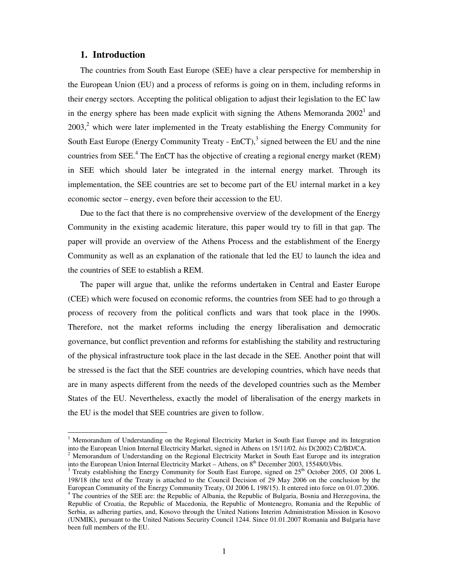## **1. Introduction**

 $\overline{a}$ 

The countries from South East Europe (SEE) have a clear perspective for membership in the European Union (EU) and a process of reforms is going on in them, including reforms in their energy sectors. Accepting the political obligation to adjust their legislation to the EC law in the energy sphere has been made explicit with signing the Athens Memoranda  $2002<sup>1</sup>$  and  $2003$ <sup>2</sup>, which were later implemented in the Treaty establishing the Energy Community for South East Europe (Energy Community Treaty -  $EnCT$ ),<sup>3</sup> signed between the EU and the nine countries from SEE.<sup>4</sup> The EnCT has the objective of creating a regional energy market (REM) in SEE which should later be integrated in the internal energy market. Through its implementation, the SEE countries are set to become part of the EU internal market in a key economic sector – energy, even before their accession to the EU.

Due to the fact that there is no comprehensive overview of the development of the Energy Community in the existing academic literature, this paper would try to fill in that gap. The paper will provide an overview of the Athens Process and the establishment of the Energy Community as well as an explanation of the rationale that led the EU to launch the idea and the countries of SEE to establish a REM.

The paper will argue that, unlike the reforms undertaken in Central and Easter Europe (CEE) which were focused on economic reforms, the countries from SEE had to go through a process of recovery from the political conflicts and wars that took place in the 1990s. Therefore, not the market reforms including the energy liberalisation and democratic governance, but conflict prevention and reforms for establishing the stability and restructuring of the physical infrastructure took place in the last decade in the SEE. Another point that will be stressed is the fact that the SEE countries are developing countries, which have needs that are in many aspects different from the needs of the developed countries such as the Member States of the EU. Nevertheless, exactly the model of liberalisation of the energy markets in the EU is the model that SEE countries are given to follow.

<sup>&</sup>lt;sup>1</sup> Memorandum of Understanding on the Regional Electricity Market in South East Europe and its Integration into the European Union Internal Electricity Market, signed in Athens on 15/11/02. *bis* D(2002) C2/BD/CA.

 $2$  Memorandum of Understanding on the Regional Electricity Market in South East Europe and its integration into the European Union Internal Electricity Market – Athens, on 8<sup>th</sup> December 2003, 15548/03/bis.

 $3$  Treaty establishing the Energy Community for South East Europe, signed on  $25<sup>th</sup>$  October 2005, OJ 2006 L 198/18 (the text of the Treaty is attached to the Council Decision of 29 May 2006 on the conclusion by the European Community of the Energy Community Treaty, OJ 2006 L 198/15). It entered into force on 01.07.2006. <sup>4</sup> The countries of the SEE are: the Republic of Albania, the Republic of Bulgaria, Bosnia and Herzegovina, the Republic of Croatia, the Republic of Macedonia, the Republic of Montenegro, Romania and the Republic of Serbia, as adhering parties, and, Kosovo through the United Nations Interim Administration Mission in Kosovo (UNMIK), pursuant to the United Nations Security Council 1244. Since 01.01.2007 Romania and Bulgaria have been full members of the EU.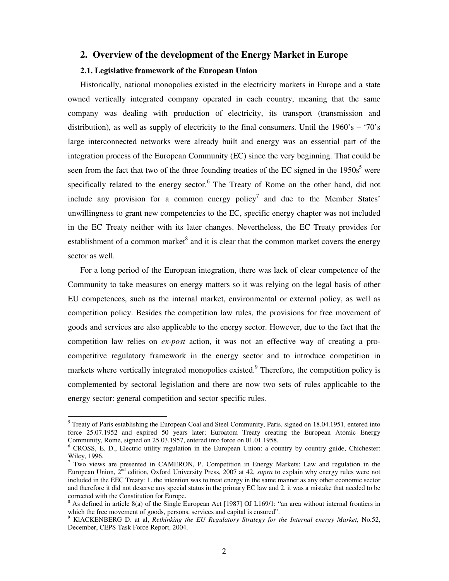## **2. Overview of the development of the Energy Market in Europe**

## **2.1. Legislative framework of the European Union**

Historically, national monopolies existed in the electricity markets in Europe and a state owned vertically integrated company operated in each country, meaning that the same company was dealing with production of electricity, its transport (transmission and distribution), as well as supply of electricity to the final consumers. Until the  $1960$ 's – '70's large interconnected networks were already built and energy was an essential part of the integration process of the European Community (EC) since the very beginning. That could be seen from the fact that two of the three founding treaties of the EC signed in the  $1950s<sup>5</sup>$  were specifically related to the energy sector.<sup>6</sup> The Treaty of Rome on the other hand, did not include any provision for a common energy policy<sup>7</sup> and due to the Member States' unwillingness to grant new competencies to the EC, specific energy chapter was not included in the EC Treaty neither with its later changes. Nevertheless, the EC Treaty provides for establishment of a common market<sup>8</sup> and it is clear that the common market covers the energy sector as well.

For a long period of the European integration, there was lack of clear competence of the Community to take measures on energy matters so it was relying on the legal basis of other EU competences, such as the internal market, environmental or external policy, as well as competition policy. Besides the competition law rules, the provisions for free movement of goods and services are also applicable to the energy sector. However, due to the fact that the competition law relies on *ex-post* action, it was not an effective way of creating a procompetitive regulatory framework in the energy sector and to introduce competition in markets where vertically integrated monopolies existed.<sup>9</sup> Therefore, the competition policy is complemented by sectoral legislation and there are now two sets of rules applicable to the energy sector: general competition and sector specific rules.

<sup>&</sup>lt;sup>5</sup> Treaty of Paris establishing the European Coal and Steel Community, Paris, signed on 18.04.1951, entered into force 25.07.1952 and expired 50 years later; Euroatom Treaty creating the European Atomic Energy Community, Rome, signed on 25.03.1957, entered into force on 01.01.1958.

<sup>&</sup>lt;sup>6</sup> CROSS, E. D., Electric utility regulation in the European Union: a country by country guide, Chichester: Wiley, 1996.

 $7$  Two views are presented in CAMERON, P. Competition in Energy Markets: Law and regulation in the European Union, 2nd edition, Oxford University Press, 2007 at 42, *supra* to explain why energy rules were not included in the EEC Treaty: 1. the intention was to treat energy in the same manner as any other economic sector and therefore it did not deserve any special status in the primary EC law and 2. it was a mistake that needed to be corrected with the Constitution for Europe.

 $8$  As defined in article 8(a) of the Single European Act [1987] OJ L169/1: "an area without internal frontiers in which the free movement of goods, persons, services and capital is ensured".

<sup>9</sup> KlACKENBERG D. at al, *Rethinking the EU Regulatory Strategy for the Internal energy Market,* No.52, December, CEPS Task Force Report, 2004.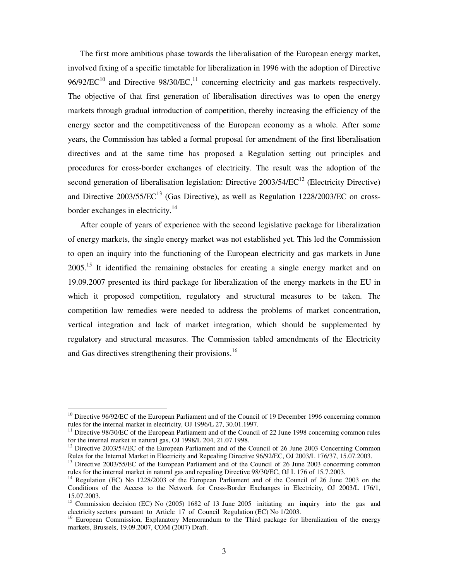The first more ambitious phase towards the liberalisation of the European energy market, involved fixing of a specific timetable for liberalization in 1996 with the adoption of Directive  $96/92/EC^{10}$  and Directive  $98/30/EC$ ,<sup>11</sup> concerning electricity and gas markets respectively. The objective of that first generation of liberalisation directives was to open the energy markets through gradual introduction of competition, thereby increasing the efficiency of the energy sector and the competitiveness of the European economy as a whole. After some years, the Commission has tabled a formal proposal for amendment of the first liberalisation directives and at the same time has proposed a Regulation setting out principles and procedures for cross-border exchanges of electricity. The result was the adoption of the second generation of liberalisation legislation: Directive  $2003/54/EC^{12}$  (Electricity Directive) and Directive  $2003/55/EC^{13}$  (Gas Directive), as well as Regulation 1228/2003/EC on crossborder exchanges in electricity.<sup>14</sup>

After couple of years of experience with the second legislative package for liberalization of energy markets, the single energy market was not established yet. This led the Commission to open an inquiry into the functioning of the European electricity and gas markets in June 2005.<sup>15</sup> It identified the remaining obstacles for creating a single energy market and on 19.09.2007 presented its third package for liberalization of the energy markets in the EU in which it proposed competition, regulatory and structural measures to be taken. The competition law remedies were needed to address the problems of market concentration, vertical integration and lack of market integration, which should be supplemented by regulatory and structural measures. The Commission tabled amendments of the Electricity and Gas directives strengthening their provisions.<sup>16</sup>

 $\overline{\phantom{a}}$ 

 $10$  Directive 96/92/EC of the European Parliament and of the Council of 19 December 1996 concerning common rules for the internal market in electricity, OJ 1996/L 27, 30.01.1997.

 $11$  Directive 98/30/EC of the European Parliament and of the Council of 22 June 1998 concerning common rules for the internal market in natural gas, OJ 1998/L 204, 21.07.1998.

<sup>&</sup>lt;sup>12</sup> Directive 2003/54/EC of the European Parliament and of the Council of 26 June 2003 Concerning Common Rules for the Internal Market in Electricity and Repealing Directive 96/92/EC, OJ 2003/L 176/37, 15.07.2003.

<sup>&</sup>lt;sup>13</sup> Directive 2003/55/EC of the European Parliament and of the Council of 26 June 2003 concerning common rules for the internal market in natural gas and repealing Directive 98/30/EC, OJ L 176 of 15.7.2003.

<sup>&</sup>lt;sup>14</sup> Regulation (EC) No 1228/2003 of the European Parliament and of the Council of 26 June 2003 on the Conditions of the Access to the Network for Cross-Border Exchanges in Electricity, OJ 2003/L 176/1, 15.07.2003.

<sup>&</sup>lt;sup>15</sup> Commission decision (EC) No (2005) 1682 of 13 June 2005 initiating an inquiry into the gas and electricity sectors pursuant to Article 17 of Council Regulation (EC) No 1/2003.

<sup>&</sup>lt;sup>16</sup> European Commission, Explanatory Memorandum to the Third package for liberalization of the energy markets, Brussels, 19.09.2007, COM (2007) Draft.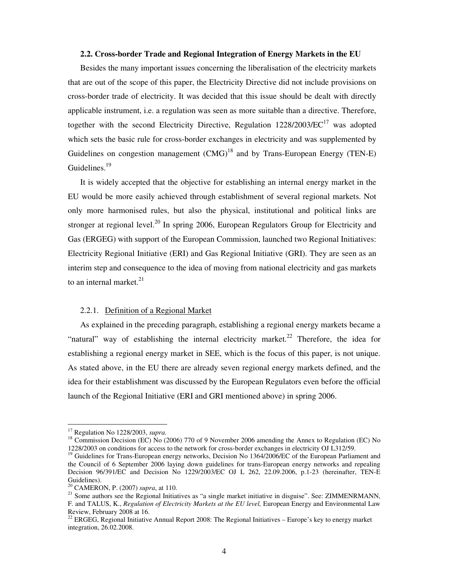#### **2.2. Cross-border Trade and Regional Integration of Energy Markets in the EU**

Besides the many important issues concerning the liberalisation of the electricity markets that are out of the scope of this paper, the Electricity Directive did not include provisions on cross-border trade of electricity. It was decided that this issue should be dealt with directly applicable instrument, i.e. a regulation was seen as more suitable than a directive. Therefore, together with the second Electricity Directive, Regulation  $1228/2003/EC^{17}$  was adopted which sets the basic rule for cross-border exchanges in electricity and was supplemented by Guidelines on congestion management  $(CMG)^{18}$  and by Trans-European Energy (TEN-E) Guidelines.<sup>19</sup>

It is widely accepted that the objective for establishing an internal energy market in the EU would be more easily achieved through establishment of several regional markets. Not only more harmonised rules, but also the physical, institutional and political links are stronger at regional level.<sup>20</sup> In spring 2006, European Regulators Group for Electricity and Gas (ERGEG) with support of the European Commission, launched two Regional Initiatives: Electricity Regional Initiative (ERI) and Gas Regional Initiative (GRI). They are seen as an interim step and consequence to the idea of moving from national electricity and gas markets to an internal market. $21$ 

## 2.2.1. Definition of a Regional Market

As explained in the preceding paragraph, establishing a regional energy markets became a "natural" way of establishing the internal electricity market.<sup>22</sup> Therefore, the idea for establishing a regional energy market in SEE, which is the focus of this paper, is not unique. As stated above, in the EU there are already seven regional energy markets defined, and the idea for their establishment was discussed by the European Regulators even before the official launch of the Regional Initiative (ERI and GRI mentioned above) in spring 2006.

<sup>17</sup> Regulation No 1228/2003, *supra*.

<sup>&</sup>lt;sup>18</sup> Commission Decision (EC) No (2006) 770 of 9 November 2006 amending the Annex to Regulation (EC) No 1228/2003 on conditions for access to the network for cross-border exchanges in electricity OJ L312/59.

<sup>&</sup>lt;sup>19</sup> Guidelines for Trans-European energy networks, Decision No 1364/2006/EC of the European Parliament and the Council of 6 September 2006 laying down guidelines for trans-European energy networks and repealing Decision 96/391/EC and Decision No 1229/2003/EC OJ L 262, 22.09.2006, p.1-23 (hereinafter, TEN-E Guidelines).

<sup>20</sup> CAMERON, P. (2007) *supra*, at 110.

 $21$  Some authors see the Regional Initiatives as "a single market initiative in disguise". See: ZIMMENRMANN, F. and TALUS, K., *Regulation of Electricity Markets at the EU level,* European Energy and Environmental Law Review, February 2008 at 16.

<sup>&</sup>lt;sup>22</sup> ERGEG, Regional Initiative Annual Report 2008: The Regional Initiatives – Europe's key to energy market integration, 26.02.2008.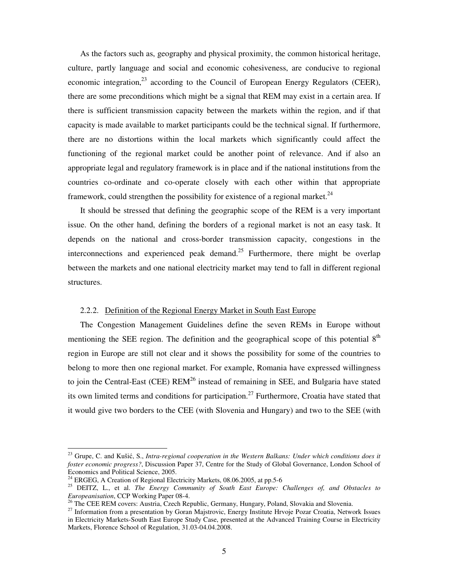As the factors such as, geography and physical proximity, the common historical heritage, culture, partly language and social and economic cohesiveness, are conducive to regional economic integration, $^{23}$  according to the Council of European Energy Regulators (CEER), there are some preconditions which might be a signal that REM may exist in a certain area. If there is sufficient transmission capacity between the markets within the region, and if that capacity is made available to market participants could be the technical signal. If furthermore, there are no distortions within the local markets which significantly could affect the functioning of the regional market could be another point of relevance. And if also an appropriate legal and regulatory framework is in place and if the national institutions from the countries co-ordinate and co-operate closely with each other within that appropriate framework, could strengthen the possibility for existence of a regional market.<sup>24</sup>

It should be stressed that defining the geographic scope of the REM is a very important issue. On the other hand, defining the borders of a regional market is not an easy task. It depends on the national and cross-border transmission capacity, congestions in the interconnections and experienced peak demand.<sup>25</sup> Furthermore, there might be overlap between the markets and one national electricity market may tend to fall in different regional structures.

## 2.2.2. Definition of the Regional Energy Market in South East Europe

The Congestion Management Guidelines define the seven REMs in Europe without mentioning the SEE region. The definition and the geographical scope of this potential  $8<sup>th</sup>$ region in Europe are still not clear and it shows the possibility for some of the countries to belong to more then one regional market. For example, Romania have expressed willingness to join the Central-East (CEE)  $REM^{26}$  instead of remaining in SEE, and Bulgaria have stated its own limited terms and conditions for participation.<sup>27</sup> Furthermore, Croatia have stated that it would give two borders to the CEE (with Slovenia and Hungary) and two to the SEE (with

<sup>&</sup>lt;sup>23</sup> Grupe, C. and Kušić, S., *Intra-regional cooperation in the Western Balkans: Under which conditions does it foster economic progress?*, Discussion Paper 37, Centre for the Study of Global Governance, London School of Economics and Political Science, 2005.

<sup>&</sup>lt;sup>24</sup> ERGEG, A Creation of Regional Electricity Markets, 08.06.2005, at pp.5-6

<sup>25</sup> DEITZ, L., et al. *The Energy Community of South East Europe: Challenges of, and Obstacles to Europeanisation*, CCP Working Paper 08-4.

<sup>&</sup>lt;sup>26</sup> The CEE REM covers: Austria, Czech Republic, Germany, Hungary, Poland, Slovakia and Slovenia.

<sup>&</sup>lt;sup>27</sup> Information from a presentation by Goran Majstrovic, Energy Institute Hrvoje Pozar Croatia, Network Issues in Electricity Markets-South East Europe Study Case, presented at the Advanced Training Course in Electricity Markets, Florence School of Regulation, 31.03-04.04.2008.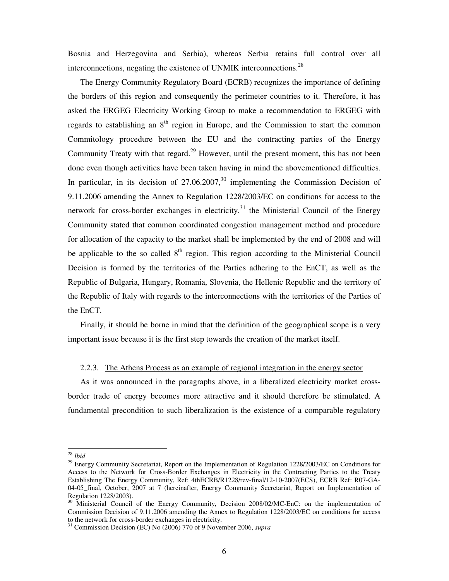Bosnia and Herzegovina and Serbia), whereas Serbia retains full control over all interconnections, negating the existence of UNMIK interconnections.<sup>28</sup>

The Energy Community Regulatory Board (ECRB) recognizes the importance of defining the borders of this region and consequently the perimeter countries to it. Therefore, it has asked the ERGEG Electricity Working Group to make a recommendation to ERGEG with regards to establishing an  $8<sup>th</sup>$  region in Europe, and the Commission to start the common Commitology procedure between the EU and the contracting parties of the Energy Community Treaty with that regard.<sup>29</sup> However, until the present moment, this has not been done even though activities have been taken having in mind the abovementioned difficulties. In particular, in its decision of  $27.06.2007<sup>30</sup>$  implementing the Commission Decision of 9.11.2006 amending the Annex to Regulation 1228/2003/EC on conditions for access to the network for cross-border exchanges in electricity, $31$  the Ministerial Council of the Energy Community stated that common coordinated congestion management method and procedure for allocation of the capacity to the market shall be implemented by the end of 2008 and will be applicable to the so called  $8<sup>th</sup>$  region. This region according to the Ministerial Council Decision is formed by the territories of the Parties adhering to the EnCT, as well as the Republic of Bulgaria, Hungary, Romania, Slovenia, the Hellenic Republic and the territory of the Republic of Italy with regards to the interconnections with the territories of the Parties of the EnCT.

Finally, it should be borne in mind that the definition of the geographical scope is a very important issue because it is the first step towards the creation of the market itself.

#### 2.2.3. The Athens Process as an example of regional integration in the energy sector

As it was announced in the paragraphs above, in a liberalized electricity market crossborder trade of energy becomes more attractive and it should therefore be stimulated. A fundamental precondition to such liberalization is the existence of a comparable regulatory

<sup>28</sup> *Ibid*

<sup>&</sup>lt;sup>29</sup> Energy Community Secretariat, Report on the Implementation of Regulation 1228/2003/EC on Conditions for Access to the Network for Cross-Border Exchanges in Electricity in the Contracting Parties to the Treaty Establishing The Energy Community, Ref: 4thECRB/R1228/rev-final/12-10-2007(ECS), ECRB Ref: R07-GA-04-05 final, October, 2007 at 7 (hereinafter, Energy Community Secretariat, Report on Implementation of Regulation 1228/2003).

<sup>&</sup>lt;sup>30</sup> Ministerial Council of the Energy Community, Decision 2008/02/MC-EnC: on the implementation of Commission Decision of 9.11.2006 amending the Annex to Regulation 1228/2003/EC on conditions for access to the network for cross-border exchanges in electricity.

<sup>31</sup> Commission Decision (EC) No (2006) 770 of 9 November 2006, *supra*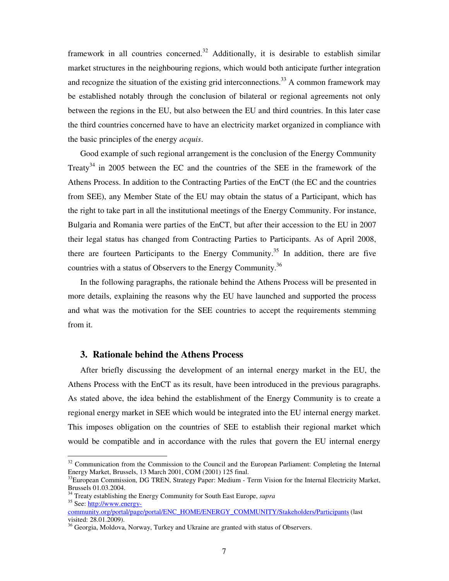framework in all countries concerned.<sup>32</sup> Additionally, it is desirable to establish similar market structures in the neighbouring regions, which would both anticipate further integration and recognize the situation of the existing grid interconnections.<sup>33</sup> A common framework may be established notably through the conclusion of bilateral or regional agreements not only between the regions in the EU, but also between the EU and third countries. In this later case the third countries concerned have to have an electricity market organized in compliance with the basic principles of the energy *acquis*.

Good example of such regional arrangement is the conclusion of the Energy Community Treaty<sup>34</sup> in 2005 between the EC and the countries of the SEE in the framework of the Athens Process. In addition to the Contracting Parties of the EnCT (the EC and the countries from SEE), any Member State of the EU may obtain the status of a Participant, which has the right to take part in all the institutional meetings of the Energy Community. For instance, Bulgaria and Romania were parties of the EnCT, but after their accession to the EU in 2007 their legal status has changed from Contracting Parties to Participants. As of April 2008, there are fourteen Participants to the Energy Community.<sup>35</sup> In addition, there are five countries with a status of Observers to the Energy Community.<sup>36</sup>

In the following paragraphs, the rationale behind the Athens Process will be presented in more details, explaining the reasons why the EU have launched and supported the process and what was the motivation for the SEE countries to accept the requirements stemming from it.

## **3. Rationale behind the Athens Process**

After briefly discussing the development of an internal energy market in the EU, the Athens Process with the EnCT as its result, have been introduced in the previous paragraphs. As stated above, the idea behind the establishment of the Energy Community is to create a regional energy market in SEE which would be integrated into the EU internal energy market. This imposes obligation on the countries of SEE to establish their regional market which would be compatible and in accordance with the rules that govern the EU internal energy

 $32$  Communication from the Commission to the Council and the European Parliament: Completing the Internal Energy Market, Brussels, 13 March 2001, COM (2001) 125 final.

<sup>&</sup>lt;sup>33</sup>European Commission, DG TREN, Strategy Paper: Medium - Term Vision for the Internal Electricity Market, Brussels 01.03.2004.

<sup>34</sup> Treaty establishing the Energy Community for South East Europe, *supra*

<sup>&</sup>lt;sup>35</sup> See: http://www.energycommunity.org/portal/page/portal/ENC\_HOME/ENERGY\_COMMUNITY/Stakeholders/Participants (last

visited: 28.01.2009).

<sup>&</sup>lt;sup>36</sup> Georgia, Moldova, Norway, Turkey and Ukraine are granted with status of Observers.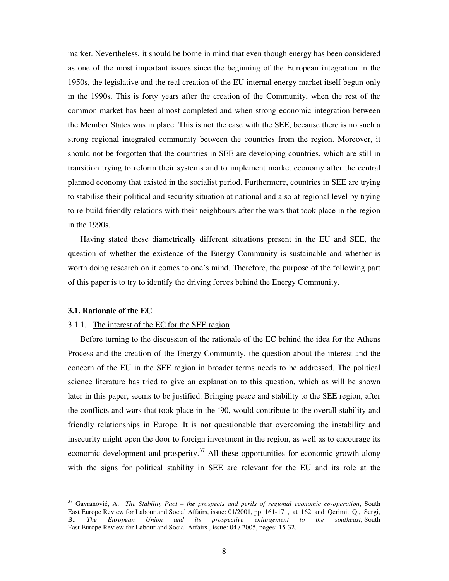market. Nevertheless, it should be borne in mind that even though energy has been considered as one of the most important issues since the beginning of the European integration in the 1950s, the legislative and the real creation of the EU internal energy market itself begun only in the 1990s. This is forty years after the creation of the Community, when the rest of the common market has been almost completed and when strong economic integration between the Member States was in place. This is not the case with the SEE, because there is no such a strong regional integrated community between the countries from the region. Moreover, it should not be forgotten that the countries in SEE are developing countries, which are still in transition trying to reform their systems and to implement market economy after the central planned economy that existed in the socialist period. Furthermore, countries in SEE are trying to stabilise their political and security situation at national and also at regional level by trying to re-build friendly relations with their neighbours after the wars that took place in the region in the 1990s.

Having stated these diametrically different situations present in the EU and SEE, the question of whether the existence of the Energy Community is sustainable and whether is worth doing research on it comes to one's mind. Therefore, the purpose of the following part of this paper is to try to identify the driving forces behind the Energy Community.

#### **3.1. Rationale of the EC**

 $\overline{\phantom{a}}$ 

#### 3.1.1. The interest of the EC for the SEE region

Before turning to the discussion of the rationale of the EC behind the idea for the Athens Process and the creation of the Energy Community, the question about the interest and the concern of the EU in the SEE region in broader terms needs to be addressed. The political science literature has tried to give an explanation to this question, which as will be shown later in this paper, seems to be justified. Bringing peace and stability to the SEE region, after the conflicts and wars that took place in the '90, would contribute to the overall stability and friendly relationships in Europe. It is not questionable that overcoming the instability and insecurity might open the door to foreign investment in the region, as well as to encourage its economic development and prosperity.<sup>37</sup> All these opportunities for economic growth along with the signs for political stability in SEE are relevant for the EU and its role at the

<sup>37</sup> Gavranović, A. *The Stability Pact – the prospects and perils of regional economic co-operation*, South East Europe Review for Labour and Social Affairs, issue: 01/2001, pp: 161-171, at 162 and Qerimi, Q., Sergi, B., *The European Union and its prospective enlargement to the southeast*, South East Europe Review for Labour and Social Affairs , issue: 04 / 2005, pages: 15-32.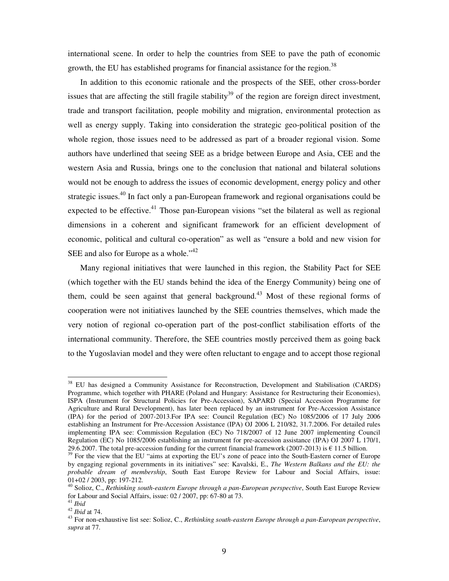international scene. In order to help the countries from SEE to pave the path of economic growth, the EU has established programs for financial assistance for the region.<sup>38</sup>

In addition to this economic rationale and the prospects of the SEE, other cross-border issues that are affecting the still fragile stability<sup>39</sup> of the region are foreign direct investment, trade and transport facilitation, people mobility and migration, environmental protection as well as energy supply. Taking into consideration the strategic geo-political position of the whole region, those issues need to be addressed as part of a broader regional vision. Some authors have underlined that seeing SEE as a bridge between Europe and Asia, CEE and the western Asia and Russia, brings one to the conclusion that national and bilateral solutions would not be enough to address the issues of economic development, energy policy and other strategic issues.<sup>40</sup> In fact only a pan-European framework and regional organisations could be expected to be effective.<sup>41</sup> Those pan-European visions "set the bilateral as well as regional dimensions in a coherent and significant framework for an efficient development of economic, political and cultural co-operation" as well as "ensure a bold and new vision for SEE and also for Europe as a whole." $42$ 

Many regional initiatives that were launched in this region, the Stability Pact for SEE (which together with the EU stands behind the idea of the Energy Community) being one of them, could be seen against that general background.<sup>43</sup> Most of these regional forms of cooperation were not initiatives launched by the SEE countries themselves, which made the very notion of regional co-operation part of the post-conflict stabilisation efforts of the international community. Therefore, the SEE countries mostly perceived them as going back to the Yugoslavian model and they were often reluctant to engage and to accept those regional

<sup>&</sup>lt;sup>38</sup> EU has designed a Community Assistance for Reconstruction, Development and Stabilisation (CARDS) Programme, which together with PHARE (Poland and Hungary: Assistance for Restructuring their Economies), ISPA (Instrument for Structural Policies for Pre-Accession), SAPARD (Special Accession Programme for Agriculture and Rural Development), has later been replaced by an instrument for Pre-Accession Assistance (IPA) for the period of 2007-2013.For IPA see: Council Regulation (EC) No 1085/2006 of 17 July 2006 establishing an Instrument for Pre-Accession Assistance (IPA) OJ 2006 L 210/82, 31.7.2006. For detailed rules implementing IPA see: Commission Regulation (EC) No 718/2007 of 12 June 2007 implementing Council Regulation (EC) No 1085/2006 establishing an instrument for pre-accession assistance (IPA) OJ 2007 L 170/1, 29.6.2007. The total pre-accession funding for the current financial framework (2007-2013) is € 11.5 billion.

<sup>&</sup>lt;sup>39</sup> For the view that the EU "aims at exporting the EU's zone of peace into the South-Eastern corner of Europe by engaging regional governments in its initiatives" see: Kavalski, E., *The Western Balkans and the EU: the probable dream of membership*, South East Europe Review for Labour and Social Affairs, issue: 01+02 / 2003, pp: 197-212.

<sup>40</sup> Solioz, C., *Rethinking south-eastern Europe through a pan-European perspective*, South East Europe Review for Labour and Social Affairs, issue: 02 / 2007, pp: 67-80 at 73.

<sup>41</sup> *Ibid* 

<sup>42</sup> *Ibid* at 74.

<sup>43</sup> For non-exhaustive list see: Solioz, C., *Rethinking south-eastern Europe through a pan-European perspective*, *supra* at 77.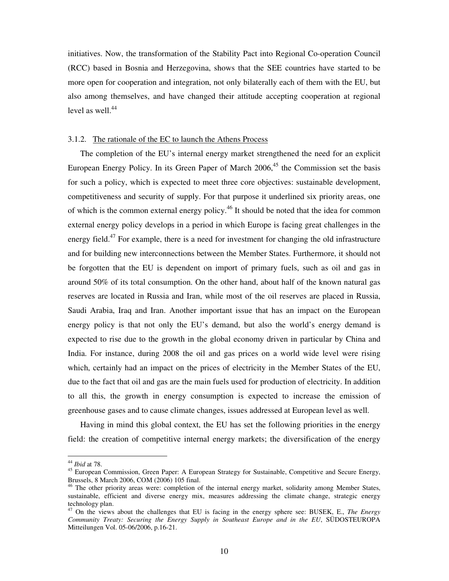initiatives. Now, the transformation of the Stability Pact into Regional Co-operation Council (RCC) based in Bosnia and Herzegovina, shows that the SEE countries have started to be more open for cooperation and integration, not only bilaterally each of them with the EU, but also among themselves, and have changed their attitude accepting cooperation at regional level as well. $44$ 

#### 3.1.2. The rationale of the EC to launch the Athens Process

The completion of the EU's internal energy market strengthened the need for an explicit European Energy Policy. In its Green Paper of March  $2006<sup>45</sup>$ , the Commission set the basis for such a policy, which is expected to meet three core objectives: sustainable development, competitiveness and security of supply. For that purpose it underlined six priority areas, one of which is the common external energy policy.<sup>46</sup> It should be noted that the idea for common external energy policy develops in a period in which Europe is facing great challenges in the energy field.<sup>47</sup> For example, there is a need for investment for changing the old infrastructure and for building new interconnections between the Member States. Furthermore, it should not be forgotten that the EU is dependent on import of primary fuels, such as oil and gas in around 50% of its total consumption. On the other hand, about half of the known natural gas reserves are located in Russia and Iran, while most of the oil reserves are placed in Russia, Saudi Arabia, Iraq and Iran. Another important issue that has an impact on the European energy policy is that not only the EU's demand, but also the world's energy demand is expected to rise due to the growth in the global economy driven in particular by China and India. For instance, during 2008 the oil and gas prices on a world wide level were rising which, certainly had an impact on the prices of electricity in the Member States of the EU, due to the fact that oil and gas are the main fuels used for production of electricity. In addition to all this, the growth in energy consumption is expected to increase the emission of greenhouse gases and to cause climate changes, issues addressed at European level as well.

Having in mind this global context, the EU has set the following priorities in the energy field: the creation of competitive internal energy markets; the diversification of the energy

<sup>44</sup> *Ibid* at 78.

<sup>&</sup>lt;sup>45</sup> European Commission, Green Paper: A European Strategy for Sustainable, Competitive and Secure Energy, Brussels, 8 March 2006, COM (2006) 105 final.

<sup>&</sup>lt;sup>46</sup> The other priority areas were: completion of the internal energy market, solidarity among Member States, sustainable, efficient and diverse energy mix, measures addressing the climate change, strategic energy technology plan.

<sup>47</sup> On the views about the challenges that EU is facing in the energy sphere see: BUSEK, E., *The Energy Community Treaty: Securing the Energy Supply in Southeast Europe and in the EU*, SÜDOSTEUROPA Mitteilungen Vol. 05-06/2006, p.16-21.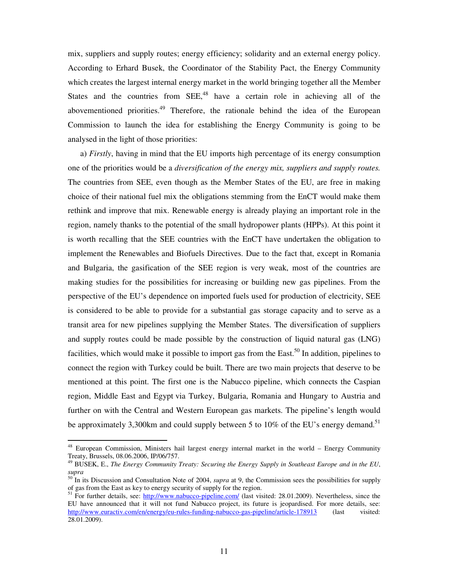mix, suppliers and supply routes; energy efficiency; solidarity and an external energy policy. According to Erhard Busek, the Coordinator of the Stability Pact, the Energy Community which creates the largest internal energy market in the world bringing together all the Member States and the countries from  $SEE<sub>1</sub><sup>48</sup>$  have a certain role in achieving all of the abovementioned priorities.<sup>49</sup> Therefore, the rationale behind the idea of the European Commission to launch the idea for establishing the Energy Community is going to be analysed in the light of those priorities:

a) *Firstly*, having in mind that the EU imports high percentage of its energy consumption one of the priorities would be a *diversification of the energy mix, suppliers and supply routes.* The countries from SEE, even though as the Member States of the EU, are free in making choice of their national fuel mix the obligations stemming from the EnCT would make them rethink and improve that mix. Renewable energy is already playing an important role in the region, namely thanks to the potential of the small hydropower plants (HPPs). At this point it is worth recalling that the SEE countries with the EnCT have undertaken the obligation to implement the Renewables and Biofuels Directives. Due to the fact that, except in Romania and Bulgaria, the gasification of the SEE region is very weak, most of the countries are making studies for the possibilities for increasing or building new gas pipelines. From the perspective of the EU's dependence on imported fuels used for production of electricity, SEE is considered to be able to provide for a substantial gas storage capacity and to serve as a transit area for new pipelines supplying the Member States. The diversification of suppliers and supply routes could be made possible by the construction of liquid natural gas (LNG) facilities, which would make it possible to import gas from the East.<sup>50</sup> In addition, pipelines to connect the region with Turkey could be built. There are two main projects that deserve to be mentioned at this point. The first one is the Nabucco pipeline, which connects the Caspian region, Middle East and Egypt via Turkey, Bulgaria, Romania and Hungary to Austria and further on with the Central and Western European gas markets. The pipeline's length would be approximately 3,300km and could supply between 5 to 10% of the EU's energy demand.<sup>51</sup>

 $\overline{\phantom{a}}$ 

 $48$  European Commission, Ministers hail largest energy internal market in the world – Energy Community Treaty, Brussels, 08.06.2006, IP/06/757.

<sup>49</sup> BUSEK, E., *The Energy Community Treaty: Securing the Energy Supply in Southeast Europe and in the EU*, *supra*

<sup>50</sup> In its Discussion and Consultation Note of 2004, *supra* at 9, the Commission sees the possibilities for supply of gas from the East as key to energy security of supply for the region.

<sup>&</sup>lt;sup>51</sup> For further details, see: http://www.nabucco-pipeline.com/ (last visited: 28.01.2009). Nevertheless, since the EU have announced that it will not fund Nabucco project, its future is jeopardised. For more details, see: http://www.euractiv.com/en/energy/eu-rules-funding-nabucco-gas-pipeline/article-178913 (last visited: 28.01.2009).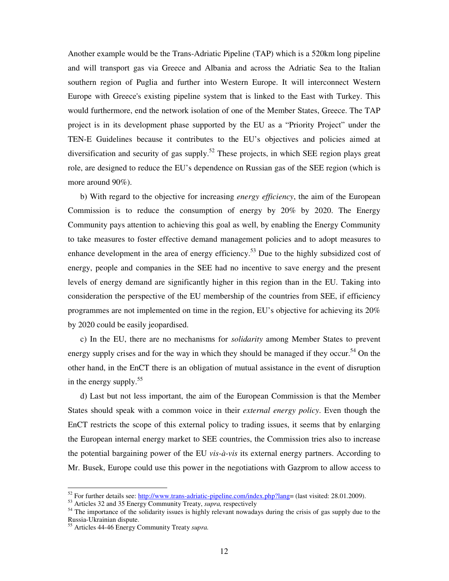Another example would be the Trans-Adriatic Pipeline (TAP) which is a 520km long pipeline and will transport gas via Greece and Albania and across the Adriatic Sea to the Italian southern region of Puglia and further into Western Europe. It will interconnect Western Europe with Greece's existing pipeline system that is linked to the East with Turkey. This would furthermore, end the network isolation of one of the Member States, Greece. The TAP project is in its development phase supported by the EU as a "Priority Project" under the TEN-E Guidelines because it contributes to the EU's objectives and policies aimed at diversification and security of gas supply.<sup>52</sup> These projects, in which SEE region plays great role, are designed to reduce the EU's dependence on Russian gas of the SEE region (which is more around 90%).

b) With regard to the objective for increasing *energy efficiency*, the aim of the European Commission is to reduce the consumption of energy by 20% by 2020. The Energy Community pays attention to achieving this goal as well, by enabling the Energy Community to take measures to foster effective demand management policies and to adopt measures to enhance development in the area of energy efficiency.<sup>53</sup> Due to the highly subsidized cost of energy, people and companies in the SEE had no incentive to save energy and the present levels of energy demand are significantly higher in this region than in the EU. Taking into consideration the perspective of the EU membership of the countries from SEE, if efficiency programmes are not implemented on time in the region, EU's objective for achieving its 20% by 2020 could be easily jeopardised.

c) In the EU, there are no mechanisms for *solidarity* among Member States to prevent energy supply crises and for the way in which they should be managed if they occur.<sup>54</sup> On the other hand, in the EnCT there is an obligation of mutual assistance in the event of disruption in the energy supply. $55$ 

d) Last but not less important, the aim of the European Commission is that the Member States should speak with a common voice in their *external energy policy*. Even though the EnCT restricts the scope of this external policy to trading issues, it seems that by enlarging the European internal energy market to SEE countries, the Commission tries also to increase the potential bargaining power of the EU *vis-à-vis* its external energy partners. According to Mr. Busek, Europe could use this power in the negotiations with Gazprom to allow access to

<sup>&</sup>lt;sup>52</sup> For further details see: http://www.trans-adriatic-pipeline.com/index.php?lang= (last visited: 28.01.2009).

<sup>53</sup> Articles 32 and 35 Energy Community Treaty, *supra,* respectively

<sup>&</sup>lt;sup>54</sup> The importance of the solidarity issues is highly relevant nowadays during the crisis of gas supply due to the Russia-Ukrainian dispute.

<sup>55</sup> Articles 44-46 Energy Community Treaty *supra.*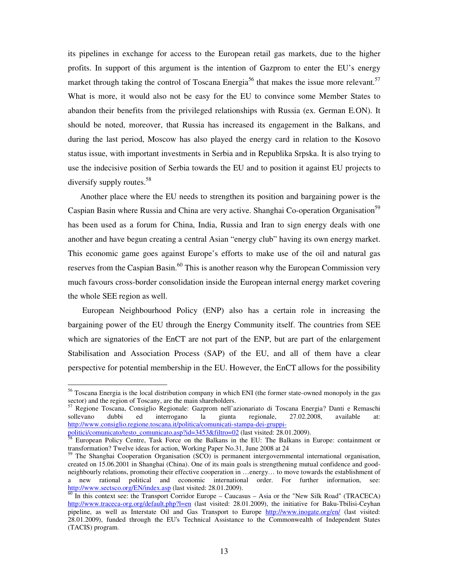its pipelines in exchange for access to the European retail gas markets, due to the higher profits. In support of this argument is the intention of Gazprom to enter the EU's energy market through taking the control of Toscana Energia<sup>56</sup> that makes the issue more relevant.<sup>57</sup> What is more, it would also not be easy for the EU to convince some Member States to abandon their benefits from the privileged relationships with Russia (ex. German E.ON). It should be noted, moreover, that Russia has increased its engagement in the Balkans, and during the last period, Moscow has also played the energy card in relation to the Kosovo status issue, with important investments in Serbia and in Republika Srpska. It is also trying to use the indecisive position of Serbia towards the EU and to position it against EU projects to diversify supply routes.<sup>58</sup>

Another place where the EU needs to strengthen its position and bargaining power is the Caspian Basin where Russia and China are very active. Shanghai Co-operation Organisation<sup>59</sup> has been used as a forum for China, India, Russia and Iran to sign energy deals with one another and have begun creating a central Asian "energy club" having its own energy market. This economic game goes against Europe's efforts to make use of the oil and natural gas reserves from the Caspian Basin.<sup>60</sup> This is another reason why the European Commission very much favours cross-border consolidation inside the European internal energy market covering the whole SEE region as well.

European Neighbourhood Policy (ENP) also has a certain role in increasing the bargaining power of the EU through the Energy Community itself. The countries from SEE which are signatories of the EnCT are not part of the ENP, but are part of the enlargement Stabilisation and Association Process (SAP) of the EU, and all of them have a clear perspective for potential membership in the EU. However, the EnCT allows for the possibility

<sup>&</sup>lt;sup>56</sup> Toscana Energia is the local distribution company in which ENI (the former state-owned monopoly in the gas sector) and the region of Toscany, are the main shareholders.<br> $57$  Begione Toscana, Consiglia Basis at the main shareholders.

<sup>57</sup> Regione Toscana, Consiglio Regionale: Gazprom nell'azionariato di Toscana Energia? Danti e Remaschi sollevano dubbi ed interrogano la giunta regionale, 27.02.2008, available at: http://www.consiglio.regione.toscana.it/politica/comunicati-stampa-dei-gruppi-

politici/comunicato/testo\_comunicato.asp?id=3453&filtro=02 (last visited: 28.01.2009).

<sup>&</sup>lt;sup>58</sup> European Policy Centre, Task Force on the Balkans in the EU: The Balkans in Europe: containment or transformation? Twelve ideas for action, Working Paper No.31, June 2008 at 24

<sup>&</sup>lt;sup>59</sup> The Shanghai Cooperation Organisation (SCO) is permanent intergovernmental international organisation, created on 15.06.2001 in Shanghai (China). One of its main goals is strengthening mutual confidence and goodneighbourly relations, promoting their effective cooperation in …energy… to move towards the establishment of a new rational political and economic international order. For further information, see: http://www.sectsco.org/EN/index.asp (last visited: 28.01.2009).

 $\frac{60}{60}$  In this context see: the Transport Corridor Europe – Caucasus – Asia or the "New Silk Road" (TRACECA) http://www.traceca-org.org/default.php?l=en (last visited: 28.01.2009), the initiative for Baku-Tbilisi-Ceyhan pipeline, as well as Interstate Oil and Gas Transport to Europe http://www.inogate.org/en/ (last visited: 28.01.2009), funded through the EU's Technical Assistance to the Commonwealth of Independent States (TACIS) program.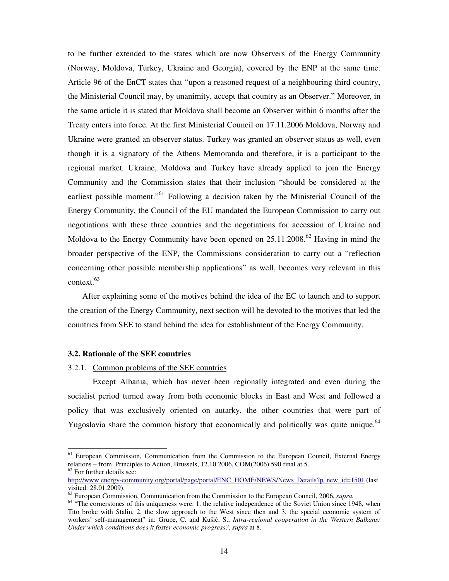to be further extended to the states which are now Observers of the Energy Community (Norway, Moldova, Turkey, Ukraine and Georgia), covered by the ENP at the same time. Article 96 of the EnCT states that "upon a reasoned request of a neighbouring third country, the Ministerial Council may, by unanimity, accept that country as an Observer." Moreover, in the same article it is stated that Moldova shall become an Observer within 6 months after the Treaty enters into force. At the first Ministerial Council on 17.11.2006 Moldova, Norway and Ukraine were granted an observer status. Turkey was granted an observer status as well, even though it is a signatory of the Athens Memoranda and therefore, it is a participant to the regional market. Ukraine, Moldova and Turkey have already applied to join the Energy Community and the Commission states that their inclusion "should be considered at the earliest possible moment."<sup>61</sup> Following a decision taken by the Ministerial Council of the Energy Community, the Council of the EU mandated the European Commission to carry out negotiations with these three countries and the negotiations for accession of Ukraine and Moldova to the Energy Community have been opened on  $25.11.2008<sup>62</sup>$  Having in mind the broader perspective of the ENP, the Commissions consideration to carry out a "reflection concerning other possible membership applications" as well, becomes very relevant in this context.<sup>63</sup>

After explaining some of the motives behind the idea of the EC to launch and to support the creation of the Energy Community, next section will be devoted to the motives that led the countries from SEE to stand behind the idea for establishment of the Energy Community.

#### **3.2. Rationale of the SEE countries**

#### 3.2.1. Common problems of the SEE countries

Except Albania, which has never been regionally integrated and even during the socialist period turned away from both economic blocks in East and West and followed a policy that was exclusively oriented on autarky, the other countries that were part of Yugoslavia share the common history that economically and politically was quite unique.<sup>64</sup>

<sup>&</sup>lt;sup>61</sup> European Commission, Communication from the Commission to the European Council, External Energy relations – from Principles to Action, Brussels, 12.10.2006, COM(2006) 590 final at 5. <sup>62</sup> For further details see:

http://www.energy-community.org/portal/page/portal/ENC\_HOME/NEWS/News\_Details?p\_new\_id=1501 (last visited: 28.01.2009).

<sup>63</sup> European Commission, Communication from the Commission to the European Council, 2006, *supra.*

 $64$  "The cornerstones of this uniqueness were: 1. the relative independence of the Soviet Union since 1948, when Tito broke with Stalin, 2. the slow approach to the West since then and 3. the special economic system of workers' self-management" in: Grupe, C. and Kušić, S., *Intra-regional cooperation in the Western Balkans: Under which conditions does it foster economic progress?*, *supra* at 8.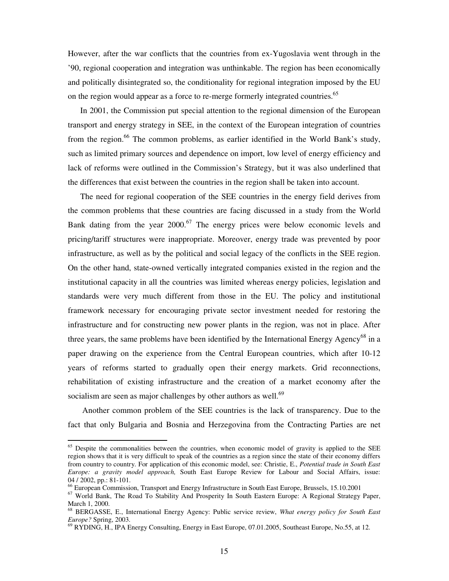However, after the war conflicts that the countries from ex-Yugoslavia went through in the '90, regional cooperation and integration was unthinkable. The region has been economically and politically disintegrated so, the conditionality for regional integration imposed by the EU on the region would appear as a force to re-merge formerly integrated countries.<sup>65</sup>

In 2001, the Commission put special attention to the regional dimension of the European transport and energy strategy in SEE, in the context of the European integration of countries from the region.<sup>66</sup> The common problems, as earlier identified in the World Bank's study, such as limited primary sources and dependence on import, low level of energy efficiency and lack of reforms were outlined in the Commission's Strategy, but it was also underlined that the differences that exist between the countries in the region shall be taken into account.

The need for regional cooperation of the SEE countries in the energy field derives from the common problems that these countries are facing discussed in a study from the World Bank dating from the year  $2000$ .<sup>67</sup> The energy prices were below economic levels and pricing/tariff structures were inappropriate. Moreover, energy trade was prevented by poor infrastructure, as well as by the political and social legacy of the conflicts in the SEE region. On the other hand, state-owned vertically integrated companies existed in the region and the institutional capacity in all the countries was limited whereas energy policies, legislation and standards were very much different from those in the EU. The policy and institutional framework necessary for encouraging private sector investment needed for restoring the infrastructure and for constructing new power plants in the region, was not in place. After three years, the same problems have been identified by the International Energy Agency<sup>68</sup> in a paper drawing on the experience from the Central European countries, which after 10-12 years of reforms started to gradually open their energy markets. Grid reconnections, rehabilitation of existing infrastructure and the creation of a market economy after the socialism are seen as major challenges by other authors as well. $69$ 

Another common problem of the SEE countries is the lack of transparency. Due to the fact that only Bulgaria and Bosnia and Herzegovina from the Contracting Parties are net

 $\overline{\phantom{a}}$ 

<sup>&</sup>lt;sup>65</sup> Despite the commonalities between the countries, when economic model of gravity is applied to the SEE region shows that it is very difficult to speak of the countries as a region since the state of their economy differs from country to country. For application of this economic model, see: Christie, E., *Potential trade in South East Europe: a gravity model approach,* South East Europe Review for Labour and Social Affairs, issue: 04 / 2002, pp.: 81-101.

<sup>&</sup>lt;sup>66</sup> European Commission, Transport and Energy Infrastructure in South East Europe, Brussels, 15.10.2001

<sup>67</sup> World Bank, The Road To Stability And Prosperity In South Eastern Europe: A Regional Strategy Paper, March 1, 2000.

<sup>68</sup> BERGASSE, E., International Energy Agency: Public service review, *What energy policy for South East Europe?* Spring, 2003.

<sup>69</sup> RYDING, H., IPA Energy Consulting, Energy in East Europe, 07.01.2005, Southeast Europe, No.55, at 12.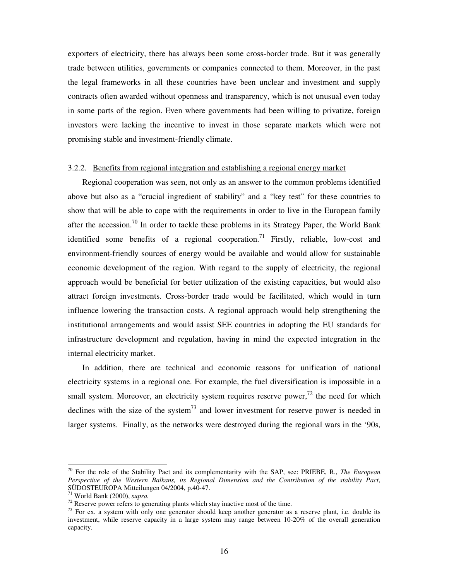exporters of electricity, there has always been some cross-border trade. But it was generally trade between utilities, governments or companies connected to them. Moreover, in the past the legal frameworks in all these countries have been unclear and investment and supply contracts often awarded without openness and transparency, which is not unusual even today in some parts of the region. Even where governments had been willing to privatize, foreign investors were lacking the incentive to invest in those separate markets which were not promising stable and investment-friendly climate.

## 3.2.2. Benefits from regional integration and establishing a regional energy market

Regional cooperation was seen, not only as an answer to the common problems identified above but also as a "crucial ingredient of stability" and a "key test" for these countries to show that will be able to cope with the requirements in order to live in the European family after the accession.<sup>70</sup> In order to tackle these problems in its Strategy Paper, the World Bank identified some benefits of a regional cooperation.<sup>71</sup> Firstly, reliable, low-cost and environment-friendly sources of energy would be available and would allow for sustainable economic development of the region. With regard to the supply of electricity, the regional approach would be beneficial for better utilization of the existing capacities, but would also attract foreign investments. Cross-border trade would be facilitated, which would in turn influence lowering the transaction costs. A regional approach would help strengthening the institutional arrangements and would assist SEE countries in adopting the EU standards for infrastructure development and regulation, having in mind the expected integration in the internal electricity market.

In addition, there are technical and economic reasons for unification of national electricity systems in a regional one. For example, the fuel diversification is impossible in a small system. Moreover, an electricity system requires reserve power,<sup>72</sup> the need for which declines with the size of the system<sup>73</sup> and lower investment for reserve power is needed in larger systems. Finally, as the networks were destroyed during the regional wars in the '90s,

<sup>70</sup> For the role of the Stability Pact and its complementarity with the SAP, see: PRIEBE, R., *The European Perspective of the Western Balkans, its Regional Dimension and the Contribution of the stability Pact*, SÜDOSTEUROPA Mitteilungen 04/2004, p.40-47.

<sup>71</sup> World Bank (2000), *supra.* 

 $72$  Reserve power refers to generating plants which stay inactive most of the time.

<sup>&</sup>lt;sup>73</sup> For ex. a system with only one generator should keep another generator as a reserve plant, i.e. double its investment, while reserve capacity in a large system may range between 10-20% of the overall generation capacity.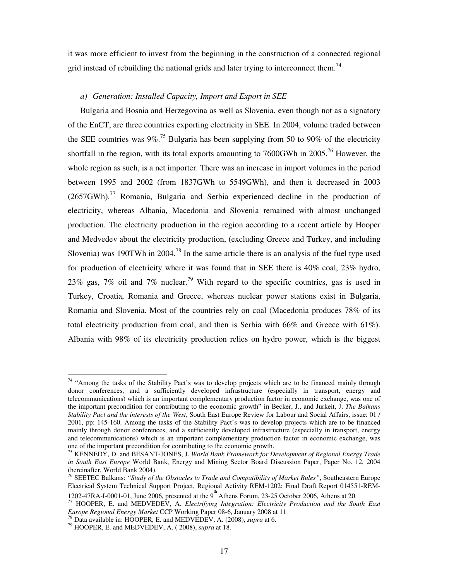it was more efficient to invest from the beginning in the construction of a connected regional grid instead of rebuilding the national grids and later trying to interconnect them.<sup>74</sup>

## *a) Generation: Installed Capacity, Import and Export in SEE*

Bulgaria and Bosnia and Herzegovina as well as Slovenia, even though not as a signatory of the EnCT, are three countries exporting electricity in SEE. In 2004, volume traded between the SEE countries was  $9\%$ .<sup>75</sup> Bulgaria has been supplying from 50 to 90% of the electricity shortfall in the region, with its total exports amounting to  $7600$ GWh in  $2005$ <sup>76</sup> However, the whole region as such, is a net importer. There was an increase in import volumes in the period between 1995 and 2002 (from 1837GWh to 5549GWh), and then it decreased in 2003  $(2657GWh).$ <sup>77</sup> Romania, Bulgaria and Serbia experienced decline in the production of electricity, whereas Albania, Macedonia and Slovenia remained with almost unchanged production. The electricity production in the region according to a recent article by Hooper and Medvedev about the electricity production, (excluding Greece and Turkey, and including Slovenia) was 190TWh in 2004.<sup>78</sup> In the same article there is an analysis of the fuel type used for production of electricity where it was found that in SEE there is 40% coal, 23% hydro, 23% gas, 7% oil and 7% nuclear.<sup>79</sup> With regard to the specific countries, gas is used in Turkey, Croatia, Romania and Greece, whereas nuclear power stations exist in Bulgaria, Romania and Slovenia. Most of the countries rely on coal (Macedonia produces 78% of its total electricity production from coal, and then is Serbia with 66% and Greece with 61%). Albania with 98% of its electricity production relies on hydro power, which is the biggest

<sup>&</sup>lt;sup>74</sup> "Among the tasks of the Stability Pact's was to develop projects which are to be financed mainly through donor conferences, and a sufficiently developed infrastructure (especially in transport, energy and telecommunications) which is an important complementary production factor in economic exchange, was one of the important precondition for contributing to the economic growth" in Becker, J., and Jurkeit, J. *The Balkans Stability Pact and the interests of the West*, South East Europe Review for Labour and Social Affairs, issue: 01 / 2001, pp: 145-160. Among the tasks of the Stability Pact's was to develop projects which are to be financed mainly through donor conferences, and a sufficiently developed infrastructure (especially in transport, energy and telecommunications) which is an important complementary production factor in economic exchange, was one of the important precondition for contributing to the economic growth.

<sup>75</sup> KENNEDY, D. and BESANT-JONES, J. *World Bank Framework for Development of Regional Energy Trade in South East Europe* World Bank, Energy and Mining Sector Board Discussion Paper, Paper No. 12, 2004 (hereinafter, World Bank 2004).

<sup>76</sup> SEETEC Balkans: *"Study of the Obstacles to Trade and Compatibility of Market Rules"*, Southeastern Europe Electrical System Technical Support Project, Regional Activity REM-1202: Final Draft Report 014551-REM-1202-47RA-I-0001-01, June 2006, presented at the 9<sup>th</sup> Athens Forum, 23-25 October 2006, Athens at 20.

<sup>77</sup> HOOPER, E. and MEDVEDEV, A. *Electrifying Integration: Electricity Production and the South East* 

*Europe Regional Energy Market* CCP Working Paper 08-6, January 2008 at 11

<sup>78</sup> Data available in: HOOPER, E. and MEDVEDEV, A. (2008), *supra* at 6.

<sup>79</sup> HOOPER, E. and MEDVEDEV, A. ( 2008), *supra* at 18.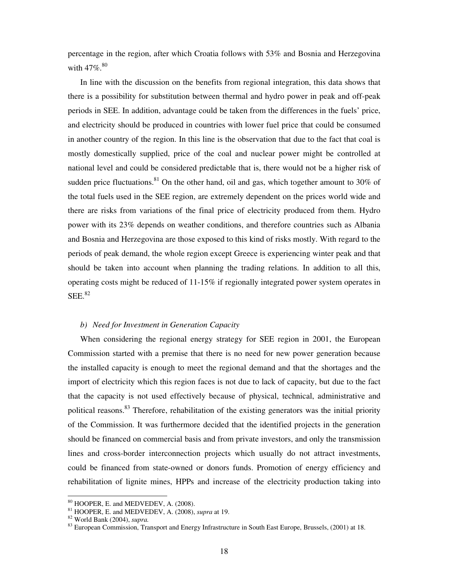percentage in the region, after which Croatia follows with 53% and Bosnia and Herzegovina with  $47\%$ . $80$ 

In line with the discussion on the benefits from regional integration, this data shows that there is a possibility for substitution between thermal and hydro power in peak and off-peak periods in SEE. In addition, advantage could be taken from the differences in the fuels' price, and electricity should be produced in countries with lower fuel price that could be consumed in another country of the region. In this line is the observation that due to the fact that coal is mostly domestically supplied, price of the coal and nuclear power might be controlled at national level and could be considered predictable that is, there would not be a higher risk of sudden price fluctuations.<sup>81</sup> On the other hand, oil and gas, which together amount to 30% of the total fuels used in the SEE region, are extremely dependent on the prices world wide and there are risks from variations of the final price of electricity produced from them. Hydro power with its 23% depends on weather conditions, and therefore countries such as Albania and Bosnia and Herzegovina are those exposed to this kind of risks mostly. With regard to the periods of peak demand, the whole region except Greece is experiencing winter peak and that should be taken into account when planning the trading relations. In addition to all this, operating costs might be reduced of 11-15% if regionally integrated power system operates in SEE.<sup>82</sup>

## *b) Need for Investment in Generation Capacity*

When considering the regional energy strategy for SEE region in 2001, the European Commission started with a premise that there is no need for new power generation because the installed capacity is enough to meet the regional demand and that the shortages and the import of electricity which this region faces is not due to lack of capacity, but due to the fact that the capacity is not used effectively because of physical, technical, administrative and political reasons.<sup>83</sup> Therefore, rehabilitation of the existing generators was the initial priority of the Commission. It was furthermore decided that the identified projects in the generation should be financed on commercial basis and from private investors, and only the transmission lines and cross-border interconnection projects which usually do not attract investments, could be financed from state-owned or donors funds. Promotion of energy efficiency and rehabilitation of lignite mines, HPPs and increase of the electricity production taking into

 $\overline{\phantom{a}}$ 

<sup>80</sup> HOOPER, E. and MEDVEDEV, A. (2008).

<sup>81</sup> HOOPER, E. and MEDVEDEV, A. (2008), *supra* at 19.

<sup>82</sup> World Bank (2004), *supra.* 

<sup>83</sup> European Commission, Transport and Energy Infrastructure in South East Europe, Brussels, (2001) at 18.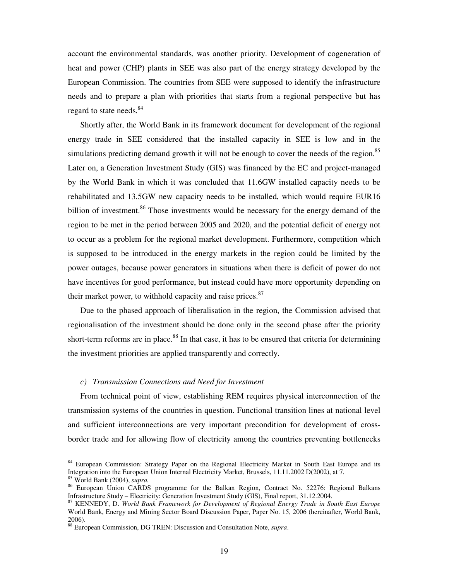account the environmental standards, was another priority. Development of cogeneration of heat and power (CHP) plants in SEE was also part of the energy strategy developed by the European Commission. The countries from SEE were supposed to identify the infrastructure needs and to prepare a plan with priorities that starts from a regional perspective but has regard to state needs.<sup>84</sup>

Shortly after, the World Bank in its framework document for development of the regional energy trade in SEE considered that the installed capacity in SEE is low and in the simulations predicting demand growth it will not be enough to cover the needs of the region.<sup>85</sup> Later on, a Generation Investment Study (GIS) was financed by the EC and project-managed by the World Bank in which it was concluded that 11.6GW installed capacity needs to be rehabilitated and 13.5GW new capacity needs to be installed, which would require EUR16 billion of investment.<sup>86</sup> Those investments would be necessary for the energy demand of the region to be met in the period between 2005 and 2020, and the potential deficit of energy not to occur as a problem for the regional market development. Furthermore, competition which is supposed to be introduced in the energy markets in the region could be limited by the power outages, because power generators in situations when there is deficit of power do not have incentives for good performance, but instead could have more opportunity depending on their market power, to withhold capacity and raise prices. $87$ 

Due to the phased approach of liberalisation in the region, the Commission advised that regionalisation of the investment should be done only in the second phase after the priority short-term reforms are in place.<sup>88</sup> In that case, it has to be ensured that criteria for determining the investment priorities are applied transparently and correctly.

#### *c) Transmission Connections and Need for Investment*

 $\overline{a}$ 

From technical point of view, establishing REM requires physical interconnection of the transmission systems of the countries in question. Functional transition lines at national level and sufficient interconnections are very important precondition for development of crossborder trade and for allowing flow of electricity among the countries preventing bottlenecks

<sup>&</sup>lt;sup>84</sup> European Commission: Strategy Paper on the Regional Electricity Market in South East Europe and its Integration into the European Union Internal Electricity Market, Brussels, 11.11.2002 D(2002), at 7. <sup>85</sup> World Bank (2004), *supra.*

<sup>86</sup> European Union CARDS programme for the Balkan Region, Contract No. 52276: Regional Balkans Infrastructure Study – Electricity: Generation Investment Study (GIS), Final report, 31.12.2004.

<sup>87</sup> KENNEDY, D. *World Bank Framework for Development of Regional Energy Trade in South East Europe* World Bank, Energy and Mining Sector Board Discussion Paper, Paper No. 15, 2006 (hereinafter, World Bank, 2006).

<sup>88</sup> European Commission, DG TREN: Discussion and Consultation Note, *supra*.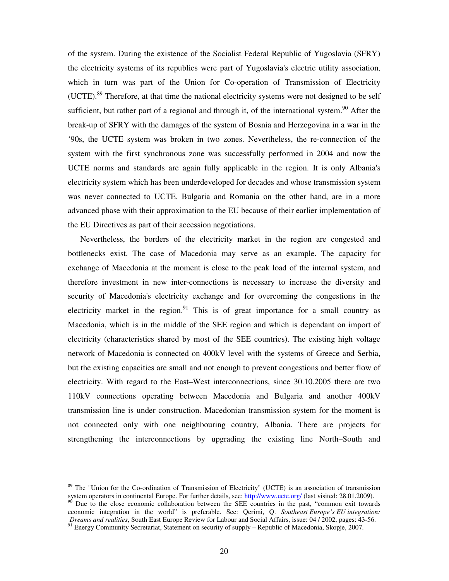of the system. During the existence of the Socialist Federal Republic of Yugoslavia (SFRY) the electricity systems of its republics were part of Yugoslavia's electric utility association, which in turn was part of the Union for Co-operation of Transmission of Electricity (UCTE).<sup>89</sup> Therefore, at that time the national electricity systems were not designed to be self sufficient, but rather part of a regional and through it, of the international system.<sup>90</sup> After the break-up of SFRY with the damages of the system of Bosnia and Herzegovina in a war in the '90s, the UCTE system was broken in two zones. Nevertheless, the re-connection of the system with the first synchronous zone was successfully performed in 2004 and now the UCTE norms and standards are again fully applicable in the region. It is only Albania's electricity system which has been underdeveloped for decades and whose transmission system was never connected to UCTE. Bulgaria and Romania on the other hand, are in a more advanced phase with their approximation to the EU because of their earlier implementation of the EU Directives as part of their accession negotiations.

Nevertheless, the borders of the electricity market in the region are congested and bottlenecks exist. The case of Macedonia may serve as an example. The capacity for exchange of Macedonia at the moment is close to the peak load of the internal system, and therefore investment in new inter-connections is necessary to increase the diversity and security of Macedonia's electricity exchange and for overcoming the congestions in the electricity market in the region.<sup>91</sup> This is of great importance for a small country as Macedonia, which is in the middle of the SEE region and which is dependant on import of electricity (characteristics shared by most of the SEE countries). The existing high voltage network of Macedonia is connected on 400kV level with the systems of Greece and Serbia, but the existing capacities are small and not enough to prevent congestions and better flow of electricity. With regard to the East–West interconnections, since 30.10.2005 there are two 110kV connections operating between Macedonia and Bulgaria and another 400kV transmission line is under construction. Macedonian transmission system for the moment is not connected only with one neighbouring country, Albania. There are projects for strengthening the interconnections by upgrading the existing line North–South and

<sup>&</sup>lt;sup>89</sup> The "Union for the Co-ordination of Transmission of Electricity" (UCTE) is an association of transmission system operators in continental Europe. For further details, see: http://www.ucte.org/ (last visited: 28.01.2009). Due to the close economic collaboration between the SEE countries in the past, "common exit towards economic integration in the world" is preferable. See: Qerimi, Q. *Southeast Europe's EU integration: Dreams and realities*, South East Europe Review for Labour and Social Affairs, issue: 04 / 2002, pages: 43-56. <sup>91</sup> Energy Community Secretariat, Statement on security of supply – Republic of Macedonia, Skopje, 2007.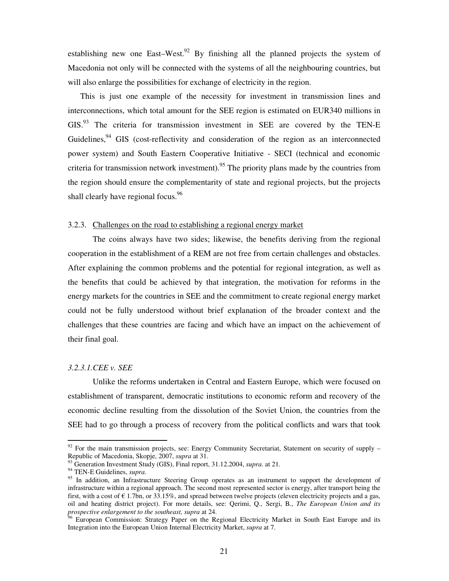establishing new one East–West.<sup>92</sup> By finishing all the planned projects the system of Macedonia not only will be connected with the systems of all the neighbouring countries, but will also enlarge the possibilities for exchange of electricity in the region.

This is just one example of the necessity for investment in transmission lines and interconnections, which total amount for the SEE region is estimated on EUR340 millions in GIS.<sup>93</sup> The criteria for transmission investment in SEE are covered by the TEN-E Guidelines,  $94$  GIS (cost-reflectivity and consideration of the region as an interconnected power system) and South Eastern Cooperative Initiative - SECI (technical and economic criteria for transmission network investment).<sup>95</sup> The priority plans made by the countries from the region should ensure the complementarity of state and regional projects, but the projects shall clearly have regional focus.<sup>96</sup>

#### 3.2.3. Challenges on the road to establishing a regional energy market

The coins always have two sides; likewise, the benefits deriving from the regional cooperation in the establishment of a REM are not free from certain challenges and obstacles. After explaining the common problems and the potential for regional integration, as well as the benefits that could be achieved by that integration, the motivation for reforms in the energy markets for the countries in SEE and the commitment to create regional energy market could not be fully understood without brief explanation of the broader context and the challenges that these countries are facing and which have an impact on the achievement of their final goal.

#### *3.2.3.1.CEE v. SEE*

Unlike the reforms undertaken in Central and Eastern Europe, which were focused on establishment of transparent, democratic institutions to economic reform and recovery of the economic decline resulting from the dissolution of the Soviet Union, the countries from the SEE had to go through a process of recovery from the political conflicts and wars that took

 $\overline{\phantom{a}}$ 

 $92$  For the main transmission projects, see: Energy Community Secretariat, Statement on security of supply – Republic of Macedonia, Skopje, 2007, *supra* at 31.

<sup>93</sup> Generation Investment Study (GIS), Final report, 31.12.2004, *supra*. at 21.

<sup>94</sup> TEN-E Guidelines, *supra.*

<sup>&</sup>lt;sup>95</sup> In addition, an Infrastructure Steering Group operates as an instrument to support the development of infrastructure within a regional approach. The second most represented sector is energy, after transport being the first, with a cost of  $\epsilon$  1.7bn, or 33.15%, and spread between twelve projects (eleven electricity projects and a gas, oil and heating district project). For more details, see: Qerimi, Q., Sergi, B., *The European Union and its prospective enlargement to the southeast, supra* at 24.

<sup>&</sup>lt;sup>96</sup> European Commission: Strategy Paper on the Regional Electricity Market in South East Europe and its Integration into the European Union Internal Electricity Market, *supra* at 7.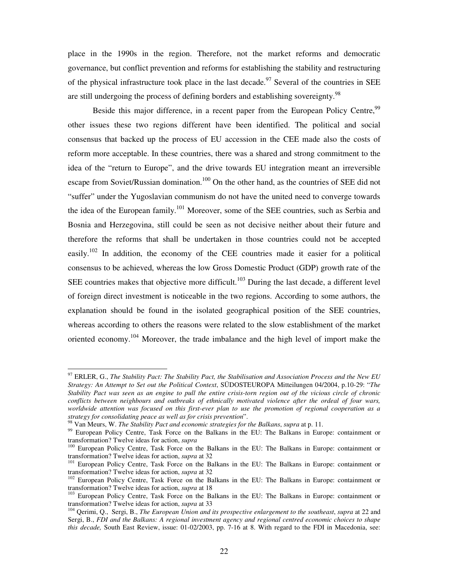place in the 1990s in the region. Therefore, not the market reforms and democratic governance, but conflict prevention and reforms for establishing the stability and restructuring of the physical infrastructure took place in the last decade.<sup>97</sup> Several of the countries in SEE are still undergoing the process of defining borders and establishing sovereignty.<sup>98</sup>

Beside this major difference, in a recent paper from the European Policy Centre,<sup>99</sup> other issues these two regions different have been identified. The political and social consensus that backed up the process of EU accession in the CEE made also the costs of reform more acceptable. In these countries, there was a shared and strong commitment to the idea of the "return to Europe", and the drive towards EU integration meant an irreversible escape from Soviet/Russian domination.<sup>100</sup> On the other hand, as the countries of SEE did not "suffer" under the Yugoslavian communism do not have the united need to converge towards the idea of the European family.<sup>101</sup> Moreover, some of the SEE countries, such as Serbia and Bosnia and Herzegovina, still could be seen as not decisive neither about their future and therefore the reforms that shall be undertaken in those countries could not be accepted easily.<sup>102</sup> In addition, the economy of the CEE countries made it easier for a political consensus to be achieved, whereas the low Gross Domestic Product (GDP) growth rate of the SEE countries makes that objective more difficult.<sup>103</sup> During the last decade, a different level of foreign direct investment is noticeable in the two regions. According to some authors, the explanation should be found in the isolated geographical position of the SEE countries, whereas according to others the reasons were related to the slow establishment of the market oriented economy.<sup>104</sup> Moreover, the trade imbalance and the high level of import make the

<sup>97</sup> ERLER, G., *The Stability Pact: The Stability Pact, the Stabilisation and Association Process and the New EU Strategy: An Attempt to Set out the Political Context*, SÜDOSTEUROPA Mitteilungen 04/2004, p.10-29: "*The Stability Pact was seen as an engine to pull the entire crisis-torn region out of the vicious circle of chronic conflicts between neighbours and outbreaks of ethnically motivated violence after the ordeal of four wars, worldwide attention was focused on this first-ever plan to use the promotion of regional cooperation as a strategy for consolidating peace as well as for crisis prevention*".

<sup>98</sup> Van Meurs, W. *The Stability Pact and economic strategies for the Balkans*, *supra* at p. 11.

<sup>&</sup>lt;sup>99</sup> European Policy Centre, Task Force on the Balkans in the EU: The Balkans in Europe: containment or transformation? Twelve ideas for action, *supra*

<sup>&</sup>lt;sup>100</sup> European Policy Centre, Task Force on the Balkans in the EU: The Balkans in Europe: containment or transformation? Twelve ideas for action, *supra* at 32

<sup>&</sup>lt;sup>101</sup> European Policy Centre, Task Force on the Balkans in the EU: The Balkans in Europe: containment or transformation? Twelve ideas for action, *supra* at 32

<sup>&</sup>lt;sup>102</sup> European Policy Centre, Task Force on the Balkans in the EU: The Balkans in Europe: containment or transformation? Twelve ideas for action, *supra* at 18

<sup>&</sup>lt;sup>103</sup> European Policy Centre, Task Force on the Balkans in the EU: The Balkans in Europe: containment or transformation? Twelve ideas for action, *supra* at 33

<sup>104</sup> Qerimi, Q., Sergi, B., *The European Union and its prospective enlargement to the southeast*, *supra* at 22 and Sergi, B., *FDI and the Balkans: A regional investment agency and regional centred economic choices to shape this decade,* South East Review, issue: 01-02/2003, pp. 7-16 at 8. With regard to the FDI in Macedonia, see: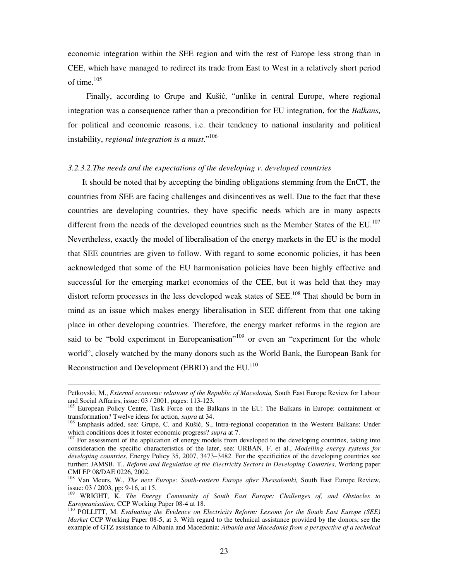economic integration within the SEE region and with the rest of Europe less strong than in CEE, which have managed to redirect its trade from East to West in a relatively short period of time.<sup>105</sup>

Finally, according to Grupe and Kušić, "unlike in central Europe, where regional integration was a consequence rather than a precondition for EU integration, for the *Balkans*, for political and economic reasons, i.e. their tendency to national insularity and political instability, *regional integration is a must*."<sup>106</sup>

#### *3.2.3.2.The needs and the expectations of the developing v. developed countries*

It should be noted that by accepting the binding obligations stemming from the EnCT, the countries from SEE are facing challenges and disincentives as well. Due to the fact that these countries are developing countries, they have specific needs which are in many aspects different from the needs of the developed countries such as the Member States of the EU.<sup>107</sup> Nevertheless, exactly the model of liberalisation of the energy markets in the EU is the model that SEE countries are given to follow. With regard to some economic policies, it has been acknowledged that some of the EU harmonisation policies have been highly effective and successful for the emerging market economies of the CEE, but it was held that they may distort reform processes in the less developed weak states of SEE.<sup>108</sup> That should be born in mind as an issue which makes energy liberalisation in SEE different from that one taking place in other developing countries. Therefore, the energy market reforms in the region are said to be "bold experiment in Europeanisation"<sup>109</sup> or even an "experiment for the whole world", closely watched by the many donors such as the World Bank, the European Bank for Reconstruction and Development (EBRD) and the EU.<sup>110</sup>

Petkovski, M., *External economic relations of the Republic of Macedonia,* South East Europe Review for Labour and Social Affarirs, issue: 03 / 2001, pages: 113-123.

<sup>&</sup>lt;sup>105</sup> European Policy Centre, Task Force on the Balkans in the EU: The Balkans in Europe: containment or transformation? Twelve ideas for action, *supra* at 34.

<sup>106</sup> Emphasis added, see: Grupe, C. and Kušić, S., Intra-regional cooperation in the Western Balkans: Under which conditions does it foster economic progress? *supra* at 7.

<sup>&</sup>lt;sup>107</sup> For assessment of the application of energy models from developed to the developing countries, taking into consideration the specific characteristics of the later, see: URBAN, F. et al., *Modelling energy systems for developing countries*, Energy Policy 35, 2007, 3473–3482. For the specificities of the developing countries see further: JAMSB, T., *Reform and Regulation of the Electricity Sectors in Developing Countries*, Working paper CMI EP 08/DAE 0226, 2002.

<sup>108</sup> Van Meurs, W., *The next Europe: South-eastern Europe after Thessaloniki,* South East Europe Review, issue: 03 / 2003, pp: 9-16, at 15.

<sup>109</sup> WRIGHT, K. *The Energy Community of South East Europe: Challenges of, and Obstacles to Europeanisation,* CCP Working Paper 08-4 at 18.

<sup>110</sup> POLLITT, M. *Evaluating the Evidence on Electricity Reform: Lessons for the South East Europe (SEE) Market* CCP Working Paper 08-5, at 3. With regard to the technical assistance provided by the donors, see the example of GTZ assistance to Albania and Macedonia: *Albania and Macedonia from a perspective of a technical*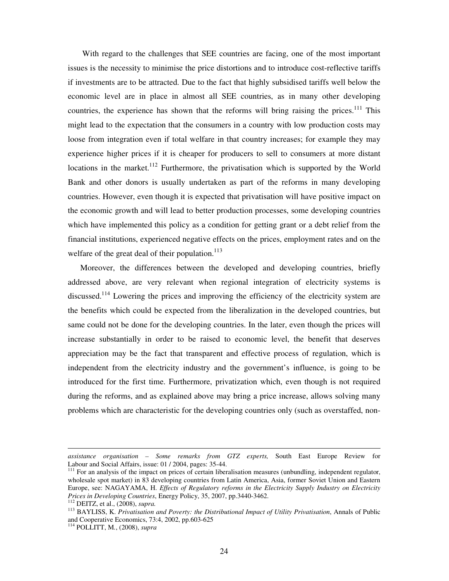With regard to the challenges that SEE countries are facing, one of the most important issues is the necessity to minimise the price distortions and to introduce cost-reflective tariffs if investments are to be attracted. Due to the fact that highly subsidised tariffs well below the economic level are in place in almost all SEE countries, as in many other developing countries, the experience has shown that the reforms will bring raising the prices.<sup>111</sup> This might lead to the expectation that the consumers in a country with low production costs may loose from integration even if total welfare in that country increases; for example they may experience higher prices if it is cheaper for producers to sell to consumers at more distant locations in the market.<sup>112</sup> Furthermore, the privatisation which is supported by the World Bank and other donors is usually undertaken as part of the reforms in many developing countries. However, even though it is expected that privatisation will have positive impact on the economic growth and will lead to better production processes, some developing countries which have implemented this policy as a condition for getting grant or a debt relief from the financial institutions, experienced negative effects on the prices, employment rates and on the welfare of the great deal of their population. $113$ 

Moreover, the differences between the developed and developing countries, briefly addressed above, are very relevant when regional integration of electricity systems is discussed.<sup>114</sup> Lowering the prices and improving the efficiency of the electricity system are the benefits which could be expected from the liberalization in the developed countries, but same could not be done for the developing countries. In the later, even though the prices will increase substantially in order to be raised to economic level, the benefit that deserves appreciation may be the fact that transparent and effective process of regulation, which is independent from the electricity industry and the government's influence, is going to be introduced for the first time. Furthermore, privatization which, even though is not required during the reforms, and as explained above may bring a price increase, allows solving many problems which are characteristic for the developing countries only (such as overstaffed, non-

*assistance organisation – Some remarks from GTZ experts,* South East Europe Review for Labour and Social Affairs, issue: 01 / 2004, pages: 35-44.

<sup>&</sup>lt;sup>111</sup> For an analysis of the impact on prices of certain liberalisation measures (unbundling, independent regulator, wholesale spot market) in 83 developing countries from Latin America, Asia, former Soviet Union and Eastern Europe, see: NAGAYAMA, H. *Effects of Regulatory reforms in the Electricity Supply Industry on Electricity Prices in Developing Countries*, Energy Policy, 35, 2007, pp.3440-3462.

<sup>112</sup> DEITZ, et al., (2008), *supra.*

<sup>&</sup>lt;sup>113</sup> BAYLISS, K. Privatisation and Poverty: the Distributional Impact of Utility Privatisation, Annals of Public and Cooperative Economics, 73:4, 2002, pp.603-625

<sup>114</sup> POLLITT, M*.*, (2008), *supra*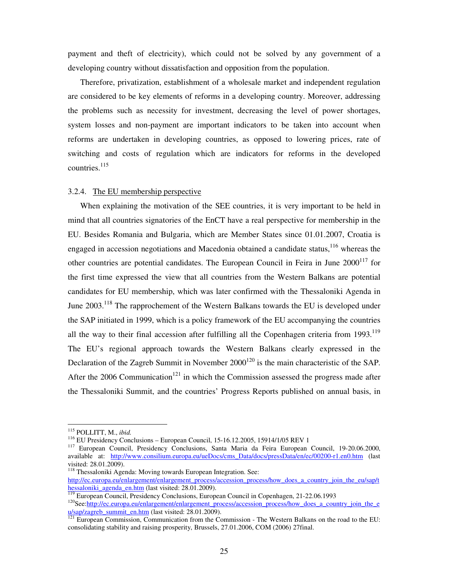payment and theft of electricity), which could not be solved by any government of a developing country without dissatisfaction and opposition from the population.

Therefore, privatization, establishment of a wholesale market and independent regulation are considered to be key elements of reforms in a developing country. Moreover, addressing the problems such as necessity for investment, decreasing the level of power shortages, system losses and non-payment are important indicators to be taken into account when reforms are undertaken in developing countries, as opposed to lowering prices, rate of switching and costs of regulation which are indicators for reforms in the developed countries.<sup>115</sup>

#### 3.2.4. The EU membership perspective

When explaining the motivation of the SEE countries, it is very important to be held in mind that all countries signatories of the EnCT have a real perspective for membership in the EU. Besides Romania and Bulgaria, which are Member States since 01.01.2007, Croatia is engaged in accession negotiations and Macedonia obtained a candidate status,  $116$  whereas the other countries are potential candidates. The European Council in Feira in June  $2000^{117}$  for the first time expressed the view that all countries from the Western Balkans are potential candidates for EU membership, which was later confirmed with the Thessaloniki Agenda in June 2003.<sup>118</sup> The rapprochement of the Western Balkans towards the EU is developed under the SAP initiated in 1999, which is a policy framework of the EU accompanying the countries all the way to their final accession after fulfilling all the Copenhagen criteria from  $1993$ .<sup>119</sup> The EU's regional approach towards the Western Balkans clearly expressed in the Declaration of the Zagreb Summit in November  $2000^{120}$  is the main characteristic of the SAP. After the 2006 Communication<sup>121</sup> in which the Commission assessed the progress made after the Thessaloniki Summit, and the countries' Progress Reports published on annual basis, in

<sup>115</sup> POLLITT, M., *ibid.*

<sup>116</sup> EU Presidency Conclusions – European Council, 15-16.12.2005, 15914/1/05 REV 1

<sup>&</sup>lt;sup>117</sup> European Council, Presidency Conclusions, Santa Maria da Feira European Council, 19-20.06.2000, available at: http://www.consilium.europa.eu/ueDocs/cms\_Data/docs/pressData/en/ec/00200-r1.en0.htm (last visited: 28.01.2009).

<sup>&</sup>lt;sup>118</sup> Thessaloniki Agenda: Moving towards European Integration. See:

http://ec.europa.eu/enlargement/enlargement\_process/accession\_process/how\_does\_a\_country\_join\_the\_eu/sap/t hessaloniki agenda en.htm (last visited: 28.01.2009).

<sup>&</sup>lt;sup>119</sup> European Council, Presidency Conclusions, European Council in Copenhagen, 21-22.06.1993

 $120$ See:http://ec.europa.eu/enlargement/enlargement\_process/accession\_process/how\_does\_a\_country\_join\_the\_e u/sap/zagreb\_summit\_en.htm (last visited: 28.01.2009).

<sup>&</sup>lt;sup>121</sup> European Commission, Communication from the Commission - The Western Balkans on the road to the EU: consolidating stability and raising prosperity, Brussels, 27.01.2006, COM (2006) 27final.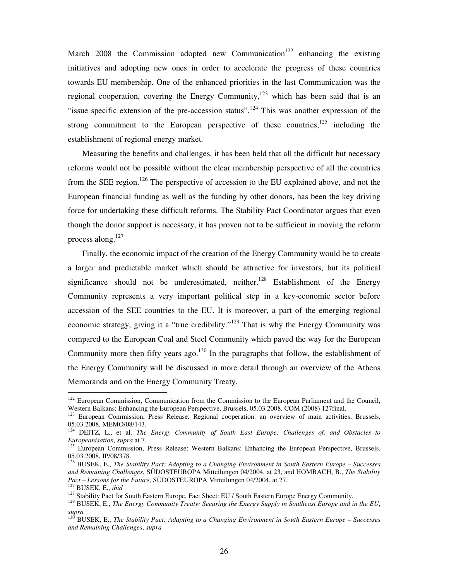March 2008 the Commission adopted new Communication<sup>122</sup> enhancing the existing initiatives and adopting new ones in order to accelerate the progress of these countries towards EU membership. One of the enhanced priorities in the last Communication was the regional cooperation, covering the Energy Community,<sup>123</sup> which has been said that is an "issue specific extension of the pre-accession status".<sup>124</sup> This was another expression of the strong commitment to the European perspective of these countries,  $125$  including the establishment of regional energy market.

Measuring the benefits and challenges, it has been held that all the difficult but necessary reforms would not be possible without the clear membership perspective of all the countries from the SEE region.<sup>126</sup> The perspective of accession to the EU explained above, and not the European financial funding as well as the funding by other donors, has been the key driving force for undertaking these difficult reforms. The Stability Pact Coordinator argues that even though the donor support is necessary, it has proven not to be sufficient in moving the reform process along.<sup>127</sup>

Finally, the economic impact of the creation of the Energy Community would be to create a larger and predictable market which should be attractive for investors, but its political significance should not be underestimated, neither.<sup>128</sup> Establishment of the Energy Community represents a very important political step in a key-economic sector before accession of the SEE countries to the EU. It is moreover, a part of the emerging regional economic strategy, giving it a "true credibility."<sup>129</sup> That is why the Energy Community was compared to the European Coal and Steel Community which paved the way for the European Community more then fifty years ago.<sup>130</sup> In the paragraphs that follow, the establishment of the Energy Community will be discussed in more detail through an overview of the Athens Memoranda and on the Energy Community Treaty.

 $122$  European Commission, Communication from the Commission to the European Parliament and the Council, Western Balkans: Enhancing the European Perspective, Brussels, 05.03.2008, COM (2008) 127final.

<sup>&</sup>lt;sup>123</sup> European Commission, Press Release: Regional cooperation: an overview of main activities, Brussels, 05.03.2008, MEMO/08/143.

<sup>124</sup> DEITZ, L., et al. *The Energy Community of South East Europe: Challenges of, and Obstacles to Europeanisation, supra* at 7.

<sup>&</sup>lt;sup>125</sup> European Commission, Press Release: Western Balkans: Enhancing the European Perspective, Brussels, 05.03.2008, IP/08/378.

<sup>126</sup> BUSEK, E., *The Stability Pact: Adapting to a Changing Environment in South Eastern Europe – Successes and Remaining Challenges*, SÜDOSTEUROPA Mitteilungen 04/2004, at 23, and HOMBACH, B., *The Stability Pact – Lessons for the Future*, SÜDOSTEUROPA Mitteilungen 04/2004, at 27.

<sup>127</sup> BUSEK, E., *ibid*

<sup>&</sup>lt;sup>128</sup> Stability Pact for South Eastern Europe, Fact Sheet: EU / South Eastern Europe Energy Community.

<sup>129</sup> BUSEK, E., *The Energy Community Treaty: Securing the Energy Supply in Southeast Europe and in the EU*, *supra*

<sup>130</sup> BUSEK, E., *The Stability Pact: Adapting to a Changing Environment in South Eastern Europe – Successes and Remaining Challenges*, *supra*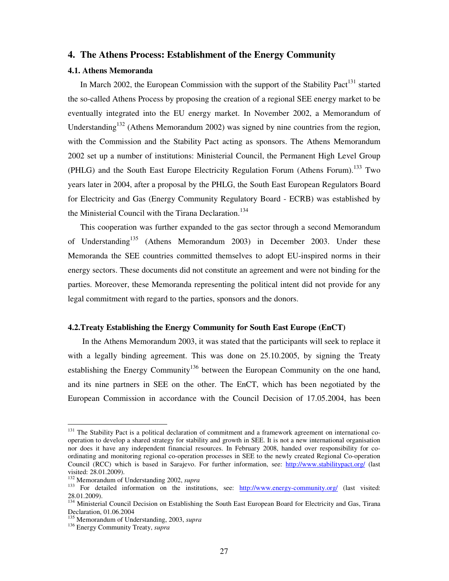## **4. The Athens Process: Establishment of the Energy Community**

## **4.1. Athens Memoranda**

In March 2002, the European Commission with the support of the Stability Pact<sup>131</sup> started the so-called Athens Process by proposing the creation of a regional SEE energy market to be eventually integrated into the EU energy market. In November 2002, a Memorandum of Understanding<sup>132</sup> (Athens Memorandum 2002) was signed by nine countries from the region, with the Commission and the Stability Pact acting as sponsors. The Athens Memorandum 2002 set up a number of institutions: Ministerial Council, the Permanent High Level Group (PHLG) and the South East Europe Electricity Regulation Forum (Athens Forum).<sup>133</sup> Two years later in 2004, after a proposal by the PHLG, the South East European Regulators Board for Electricity and Gas (Energy Community Regulatory Board - ECRB) was established by the Ministerial Council with the Tirana Declaration.<sup>134</sup>

This cooperation was further expanded to the gas sector through a second Memorandum of Understanding<sup>135</sup> (Athens Memorandum 2003) in December 2003. Under these Memoranda the SEE countries committed themselves to adopt EU-inspired norms in their energy sectors. These documents did not constitute an agreement and were not binding for the parties. Moreover, these Memoranda representing the political intent did not provide for any legal commitment with regard to the parties, sponsors and the donors.

#### **4.2.Treaty Establishing the Energy Community for South East Europe (EnCT)**

In the Athens Memorandum 2003, it was stated that the participants will seek to replace it with a legally binding agreement. This was done on 25.10.2005, by signing the Treaty establishing the Energy Community<sup>136</sup> between the European Community on the one hand, and its nine partners in SEE on the other. The EnCT, which has been negotiated by the European Commission in accordance with the Council Decision of 17.05.2004, has been

<sup>&</sup>lt;sup>131</sup> The Stability Pact is a political declaration of commitment and a framework agreement on international cooperation to develop a shared strategy for stability and growth in SEE. It is not a new international organisation nor does it have any independent financial resources. In February 2008, handed over responsibility for coordinating and monitoring regional co-operation processes in SEE to the newly created Regional Co-operation Council (RCC) which is based in Sarajevo. For further information, see: http://www.stabilitypact.org/ (last visited: 28.01.2009).

<sup>132</sup> Memorandum of Understanding 2002, *supra*

<sup>&</sup>lt;sup>133</sup> For detailed information on the institutions, see: http://www.energy-community.org/ (last visited: 28.01.2009).

<sup>&</sup>lt;sup>134</sup> Ministerial Council Decision on Establishing the South East European Board for Electricity and Gas, Tirana Declaration, 01.06.2004

<sup>135</sup> Memorandum of Understanding, 2003, *supra* 

<sup>136</sup> Energy Community Treaty, *supra*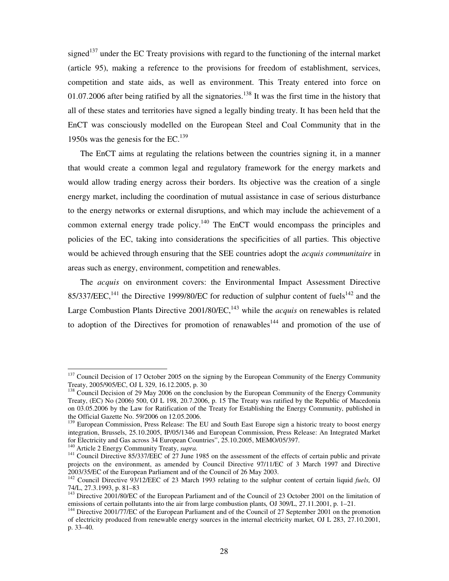signed<sup>137</sup> under the EC Treaty provisions with regard to the functioning of the internal market (article 95), making a reference to the provisions for freedom of establishment, services, competition and state aids, as well as environment. This Treaty entered into force on 01.07.2006 after being ratified by all the signatories.<sup>138</sup> It was the first time in the history that all of these states and territories have signed a legally binding treaty. It has been held that the EnCT was consciously modelled on the European Steel and Coal Community that in the 1950s was the genesis for the  $EC^{139}$ .

The EnCT aims at regulating the relations between the countries signing it, in a manner that would create a common legal and regulatory framework for the energy markets and would allow trading energy across their borders. Its objective was the creation of a single energy market, including the coordination of mutual assistance in case of serious disturbance to the energy networks or external disruptions, and which may include the achievement of a common external energy trade policy.<sup>140</sup> The EnCT would encompass the principles and policies of the EC, taking into considerations the specificities of all parties. This objective would be achieved through ensuring that the SEE countries adopt the *acquis communitaire* in areas such as energy, environment, competition and renewables.

The *acquis* on environment covers: the Environmental Impact Assessment Directive 85/337/EEC,<sup>141</sup> the Directive 1999/80/EC for reduction of sulphur content of fuels<sup>142</sup> and the Large Combustion Plants Directive 2001/80/EC,<sup>143</sup> while the *acquis* on renewables is related to adoption of the Directives for promotion of renawables<sup>144</sup> and promotion of the use of

<sup>140</sup> Article 2 Energy Community Treaty, *supra.*

<sup>&</sup>lt;sup>137</sup> Council Decision of 17 October 2005 on the signing by the European Community of the Energy Community Treaty, 2005/905/EC, OJ L 329, 16.12.2005, p. 30

<sup>&</sup>lt;sup>138</sup> Council Decision of 29 May 2006 on the conclusion by the European Community of the Energy Community Treaty, (EC) No (2006) 500, OJ L 198, 20.7.2006, p. 15 The Treaty was ratified by the Republic of Macedonia on 03.05.2006 by the Law for Ratification of the Treaty for Establishing the Energy Community, published in the Official Gazette No. 59/2006 on 12.05.2006.

<sup>&</sup>lt;sup>139</sup> European Commission, Press Release: The EU and South East Europe sign a historic treaty to boost energy integration, Brussels, 25.10.2005, IP/05/1346 and European Commission, Press Release: An Integrated Market for Electricity and Gas across 34 European Countries", 25.10.2005, MEMO/05/397.

<sup>&</sup>lt;sup>141</sup> Council Directive 85/337/EEC of 27 June 1985 on the assessment of the effects of certain public and private projects on the environment, as amended by Council Directive 97/11/EC of 3 March 1997 and Directive 2003/35/EC of the European Parliament and of the Council of 26 May 2003.

<sup>142</sup> Council Directive 93/12/EEC of 23 March 1993 relating to the sulphur content of certain liquid *fuels,* OJ 74/L, 27.3.1993, p. 81–83

<sup>&</sup>lt;sup>143</sup> Directive 2001/80/EC of the European Parliament and of the Council of 23 October 2001 on the limitation of emissions of certain pollutants into the air from large combustion plants, OJ 309/L, 27.11.2001, p. 1–21.

<sup>&</sup>lt;sup>144</sup> Directive 2001/77/EC of the European Parliament and of the Council of 27 September 2001 on the promotion of electricity produced from renewable energy sources in the internal electricity market*,* OJ L 283, 27.10.2001, p. 33–40.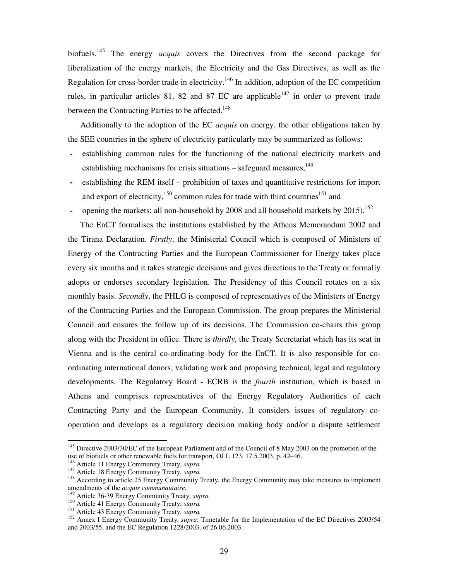biofuels.<sup>145</sup> The energy *acquis* covers the Directives from the second package for liberalization of the energy markets, the Electricity and the Gas Directives, as well as the Regulation for cross-border trade in electricity.<sup>146</sup> In addition, adoption of the EC competition rules, in particular articles 81, 82 and 87 EC are applicable<sup>147</sup> in order to prevent trade between the Contracting Parties to be affected.<sup>148</sup>

Additionally to the adoption of the EC *acquis* on energy, the other obligations taken by the SEE countries in the sphere of electricity particularly may be summarized as follows:

- **-** establishing common rules for the functioning of the national electricity markets and establishing mechanisms for crisis situations  $-$  safeguard measures,<sup>149</sup>
- **-** establishing the REM itself prohibition of taxes and quantitative restrictions for import and export of electricity, $150$  common rules for trade with third countries<sup>151</sup> and
- opening the markets: all non-household by 2008 and all household markets by 2015).<sup>152</sup>

The EnCT formalises the institutions established by the Athens Memorandum 2002 and the Tirana Declaration. *Firstly*, the Ministerial Council which is composed of Ministers of Energy of the Contracting Parties and the European Commissioner for Energy takes place every six months and it takes strategic decisions and gives directions to the Treaty or formally adopts or endorses secondary legislation. The Presidency of this Council rotates on a six monthly basis. *Secondly*, the PHLG is composed of representatives of the Ministers of Energy of the Contracting Parties and the European Commission. The group prepares the Ministerial Council and ensures the follow up of its decisions. The Commission co-chairs this group along with the President in office. There is *thirdly*, the Treaty Secretariat which has its seat in Vienna and is the central co-ordinating body for the EnCT. It is also responsible for coordinating international donors, validating work and proposing technical, legal and regulatory developments. The Regulatory Board - ECRB is the *fourth* institution, which is based in Athens and comprises representatives of the Energy Regulatory Authorities of each Contracting Party and the European Community. It considers issues of regulatory cooperation and develops as a regulatory decision making body and/or a dispute settlement

<sup>&</sup>lt;sup>145</sup> Directive 2003/30/EC of the European Parliament and of the Council of 8 May 2003 on the promotion of the use of biofuels or other renewable fuels for transport*,* OJ L 123, 17.5.2003, p. 42–46.

<sup>146</sup> Article 11 Energy Community Treaty, *supra.* 

<sup>147</sup> Article 18 Energy Community Treaty, *supra.* 

<sup>&</sup>lt;sup>148</sup> According to article 25 Energy Community Treaty, the Energy Community may take measures to implement amendments of the *acquis communautaire*.

<sup>149</sup> Article 36-39 Energy Community Treaty, *supra.* 

<sup>150</sup> Article 41 Energy Community Treaty, *supra.* 

<sup>151</sup> Article 43 Energy Community Treaty, *supra.* 

<sup>&</sup>lt;sup>152</sup> Annex I Energy Community Treaty, *supra*: Timetable for the Implementation of the EC Directives 2003/54 and 2003/55, and the EC Regulation 1228/2003, of 26.06.2003.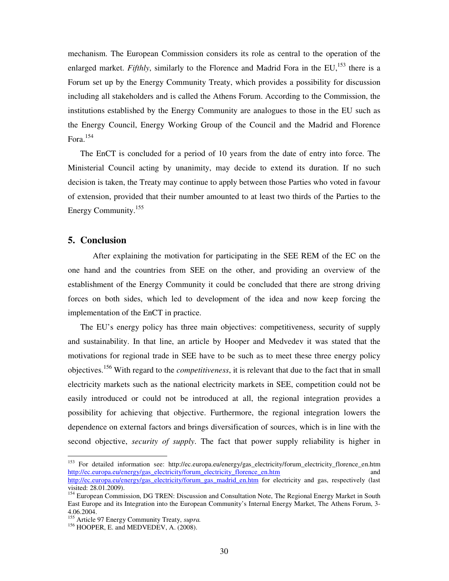mechanism. The European Commission considers its role as central to the operation of the enlarged market. *Fifthly*, similarly to the Florence and Madrid Fora in the EU,<sup>153</sup> there is a Forum set up by the Energy Community Treaty, which provides a possibility for discussion including all stakeholders and is called the Athens Forum. According to the Commission, the institutions established by the Energy Community are analogues to those in the EU such as the Energy Council, Energy Working Group of the Council and the Madrid and Florence Fora.<sup>154</sup>

The EnCT is concluded for a period of 10 years from the date of entry into force. The Ministerial Council acting by unanimity, may decide to extend its duration. If no such decision is taken, the Treaty may continue to apply between those Parties who voted in favour of extension, provided that their number amounted to at least two thirds of the Parties to the Energy Community.<sup>155</sup>

## **5. Conclusion**

 $\overline{a}$ 

After explaining the motivation for participating in the SEE REM of the EC on the one hand and the countries from SEE on the other, and providing an overview of the establishment of the Energy Community it could be concluded that there are strong driving forces on both sides, which led to development of the idea and now keep forcing the implementation of the EnCT in practice.

The EU's energy policy has three main objectives: competitiveness, security of supply and sustainability. In that line, an article by Hooper and Medvedev it was stated that the motivations for regional trade in SEE have to be such as to meet these three energy policy objectives.<sup>156</sup> With regard to the *competitiveness*, it is relevant that due to the fact that in small electricity markets such as the national electricity markets in SEE, competition could not be easily introduced or could not be introduced at all, the regional integration provides a possibility for achieving that objective. Furthermore, the regional integration lowers the dependence on external factors and brings diversification of sources, which is in line with the second objective, *security of supply*. The fact that power supply reliability is higher in

<sup>&</sup>lt;sup>153</sup> For detailed information see: http://ec.europa.eu/energy/gas\_electricity/forum\_electricity\_florence\_en.htm http://ec.europa.eu/energy/gas\_electricity/forum\_electricity\_florence\_en.htm http://ec.europa.eu/energy/gas\_electricity/forum\_gas\_madrid\_en.htm for electricity and gas, respectively (last visited: 28.01.2009).

<sup>&</sup>lt;sup>154</sup> European Commission, DG TREN: Discussion and Consultation Note, The Regional Energy Market in South East Europe and its Integration into the European Community's Internal Energy Market, The Athens Forum, 3- 4.06.2004.

<sup>155</sup> Article 97 Energy Community Treaty, *supra.* 

<sup>&</sup>lt;sup>156</sup> HOOPER, E. and MEDVEDEV, A. (2008).